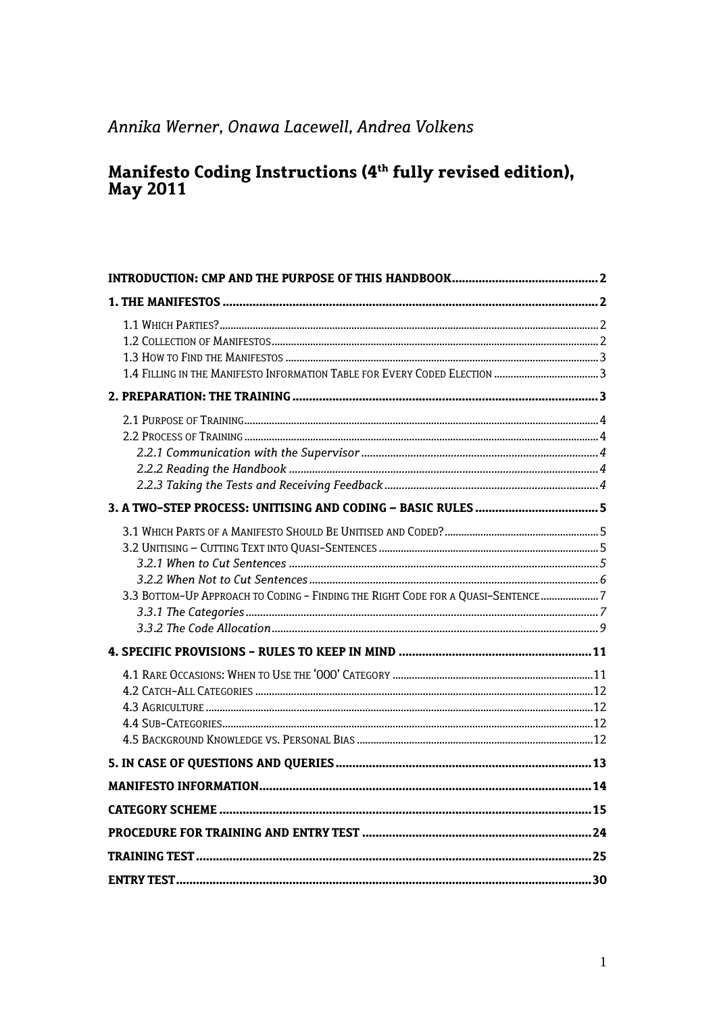# Annika Werner, Onawa Lacewell, Andrea Volkens

# **Manifesto Coding Instructions (4<sup>th</sup> fully revised edition),<br>May 2011**

| 1.4 FILLING IN THE MANIFESTO INFORMATION TABLE FOR EVERY CODED ELECTION 3        |  |
|----------------------------------------------------------------------------------|--|
|                                                                                  |  |
|                                                                                  |  |
|                                                                                  |  |
|                                                                                  |  |
|                                                                                  |  |
|                                                                                  |  |
|                                                                                  |  |
|                                                                                  |  |
|                                                                                  |  |
|                                                                                  |  |
|                                                                                  |  |
| 3.3 BOTTOM-UP APPROACH TO CODING - FINDING THE RIGHT CODE FOR A QUASI-SENTENCE 7 |  |
|                                                                                  |  |
|                                                                                  |  |
|                                                                                  |  |
|                                                                                  |  |
|                                                                                  |  |
|                                                                                  |  |
|                                                                                  |  |
|                                                                                  |  |
|                                                                                  |  |
|                                                                                  |  |
|                                                                                  |  |
|                                                                                  |  |
|                                                                                  |  |
|                                                                                  |  |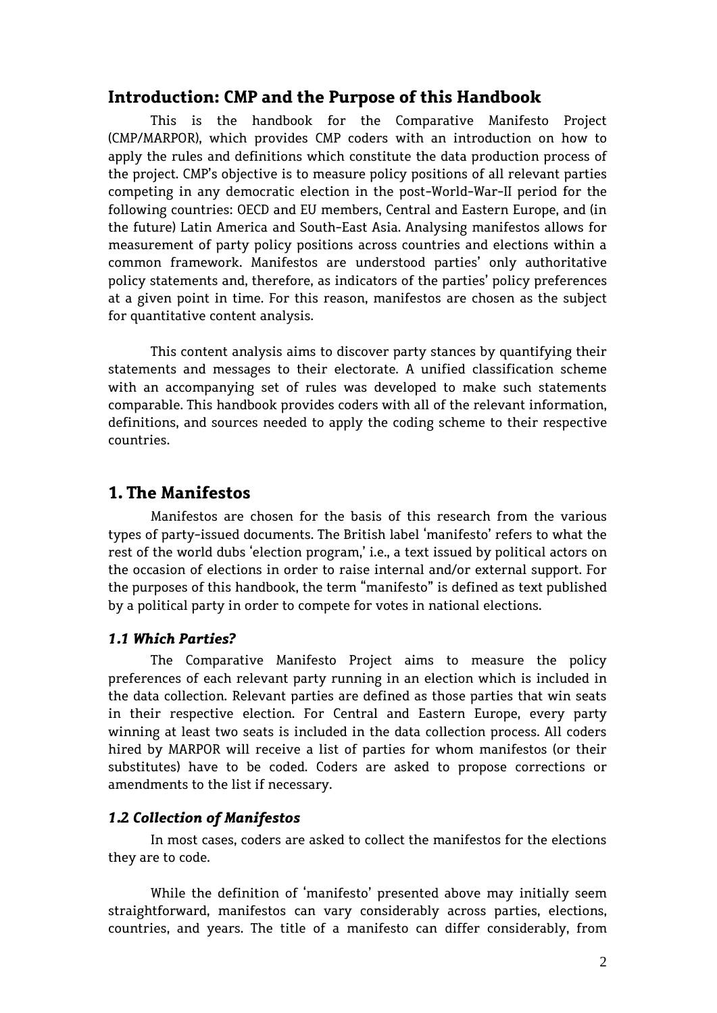# **Introduction: CMP and the Purpose of this Handbook**

This is the handbook for the Comparative Manifesto Project (CMP/MARPOR), which provides CMP coders with an introduction on how to apply the rules and definitions which constitute the data production process of the project. CMP's objective is to measure policy positions of all relevant parties competing in any democratic election in the post-World-War-II period for the following countries: OECD and EU members, Central and Eastern Europe, and (in the future) Latin America and South-East Asia. Analysing manifestos allows for measurement of party policy positions across countries and elections within a common framework. Manifestos are understood parties' only authoritative policy statements and, therefore, as indicators of the parties' policy preferences at a given point in time. For this reason, manifestos are chosen as the subject for quantitative content analysis.

This content analysis aims to discover party stances by quantifying their statements and messages to their electorate. A unified classification scheme with an accompanying set of rules was developed to make such statements comparable. This handbook provides coders with all of the relevant information, definitions, and sources needed to apply the coding scheme to their respective countries.

### **1. The Manifestos**

Manifestos are chosen for the basis of this research from the various types of party-issued documents. The British label 'manifesto' refers to what the rest of the world dubs 'election program,' i.e., a text issued by political actors on the occasion of elections in order to raise internal and/or external support. For the purposes of this handbook, the term "manifesto" is defined as text published by a political party in order to compete for votes in national elections.

#### *1.1 Which Parties?*

The Comparative Manifesto Project aims to measure the policy preferences of each relevant party running in an election which is included in the data collection. Relevant parties are defined as those parties that win seats in their respective election. For Central and Eastern Europe, every party winning at least two seats is included in the data collection process. All coders hired by MARPOR will receive a list of parties for whom manifestos (or their substitutes) have to be coded. Coders are asked to propose corrections or amendments to the list if necessary.

#### *1.2 Collection of Manifestos*

In most cases, coders are asked to collect the manifestos for the elections they are to code.

While the definition of 'manifesto' presented above may initially seem straightforward, manifestos can vary considerably across parties, elections, countries, and years. The title of a manifesto can differ considerably, from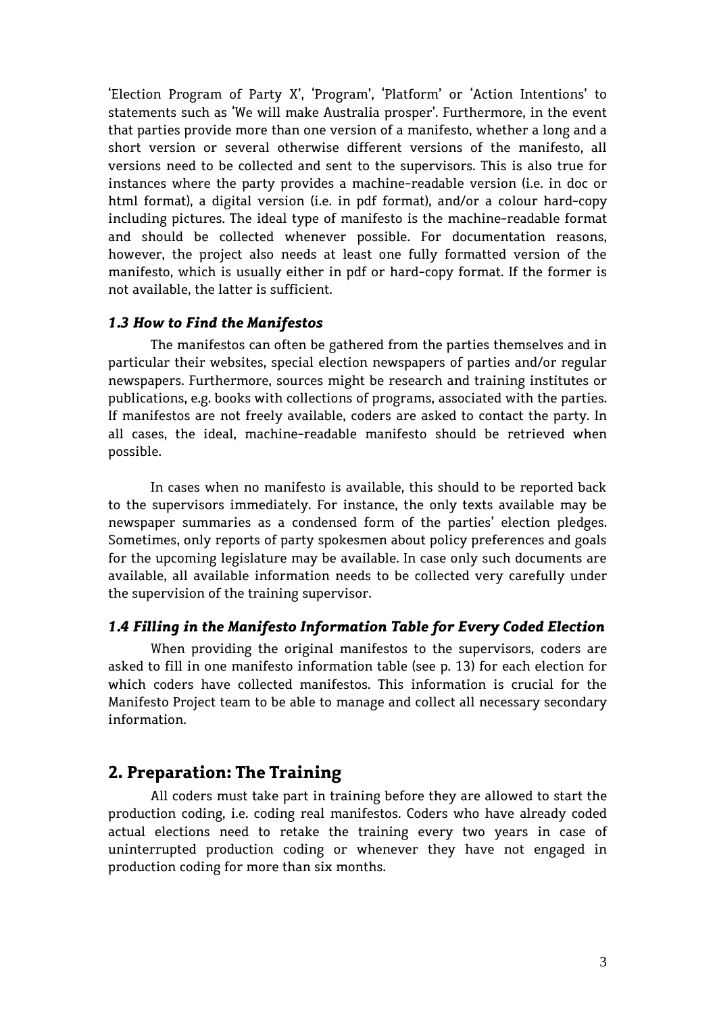'Election Program of Party X', 'Program', 'Platform' or 'Action Intentions' to statements such as 'We will make Australia prosper'. Furthermore, in the event that parties provide more than one version of a manifesto, whether a long and a short version or several otherwise different versions of the manifesto, all versions need to be collected and sent to the supervisors. This is also true for instances where the party provides a machine-readable version (i.e. in doc or html format), a digital version (i.e. in pdf format), and/or a colour hard-copy including pictures. The ideal type of manifesto is the machine-readable format and should be collected whenever possible. For documentation reasons, however, the project also needs at least one fully formatted version of the manifesto, which is usually either in pdf or hard-copy format. If the former is not available, the latter is sufficient.

#### *1.3 How to Find the Manifestos*

The manifestos can often be gathered from the parties themselves and in particular their websites, special election newspapers of parties and/or regular newspapers. Furthermore, sources might be research and training institutes or publications, e.g. books with collections of programs, associated with the parties. If manifestos are not freely available, coders are asked to contact the party. In all cases, the ideal, machine-readable manifesto should be retrieved when possible.

In cases when no manifesto is available, this should to be reported back to the supervisors immediately. For instance, the only texts available may be newspaper summaries as a condensed form of the parties' election pledges. Sometimes, only reports of party spokesmen about policy preferences and goals for the upcoming legislature may be available. In case only such documents are available, all available information needs to be collected very carefully under the supervision of the training supervisor.

#### *1.4 Filling in the Manifesto Information Table for Every Coded Election*

When providing the original manifestos to the supervisors, coders are asked to fill in one manifesto information table (see p. 13) for each election for which coders have collected manifestos. This information is crucial for the Manifesto Project team to be able to manage and collect all necessary secondary information.

### **2. Preparation: The Training**

All coders must take part in training before they are allowed to start the production coding, i.e. coding real manifestos. Coders who have already coded actual elections need to retake the training every two years in case of uninterrupted production coding or whenever they have not engaged in production coding for more than six months.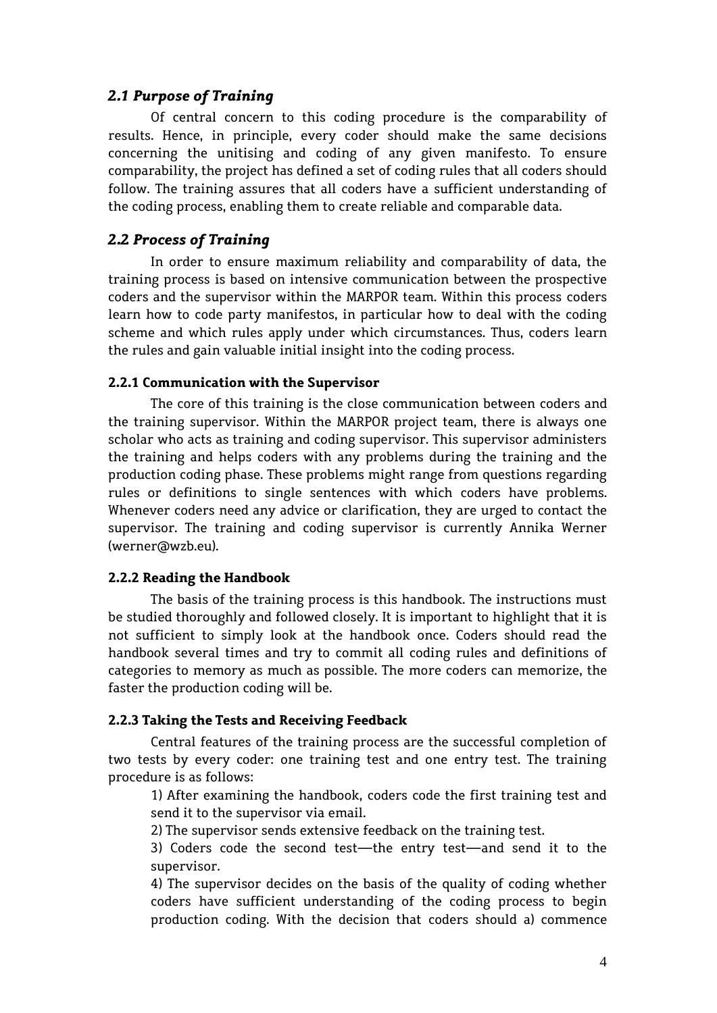#### *2.1 Purpose of Training*

Of central concern to this coding procedure is the comparability of results. Hence, in principle, every coder should make the same decisions concerning the unitising and coding of any given manifesto. To ensure comparability, the project has defined a set of coding rules that all coders should follow. The training assures that all coders have a sufficient understanding of the coding process, enabling them to create reliable and comparable data.

#### *2.2 Process of Training*

In order to ensure maximum reliability and comparability of data, the training process is based on intensive communication between the prospective coders and the supervisor within the MARPOR team. Within this process coders learn how to code party manifestos, in particular how to deal with the coding scheme and which rules apply under which circumstances. Thus, coders learn the rules and gain valuable initial insight into the coding process.

#### **2.2.1 Communication with the Supervisor**

The core of this training is the close communication between coders and the training supervisor. Within the MARPOR project team, there is always one scholar who acts as training and coding supervisor. This supervisor administers the training and helps coders with any problems during the training and the production coding phase. These problems might range from questions regarding rules or definitions to single sentences with which coders have problems. Whenever coders need any advice or clarification, they are urged to contact the supervisor. The training and coding supervisor is currently Annika Werner (werner@wzb.eu).

#### **2.2.2 Reading the Handbook**

The basis of the training process is this handbook. The instructions must be studied thoroughly and followed closely. It is important to highlight that it is not sufficient to simply look at the handbook once. Coders should read the handbook several times and try to commit all coding rules and definitions of categories to memory as much as possible. The more coders can memorize, the faster the production coding will be.

#### **2.2.3 Taking the Tests and Receiving Feedback**

Central features of the training process are the successful completion of two tests by every coder: one training test and one entry test. The training procedure is as follows:

1) After examining the handbook, coders code the first training test and send it to the supervisor via email.

2) The supervisor sends extensive feedback on the training test.

3) Coders code the second test—the entry test—and send it to the supervisor.

4) The supervisor decides on the basis of the quality of coding whether coders have sufficient understanding of the coding process to begin production coding. With the decision that coders should a) commence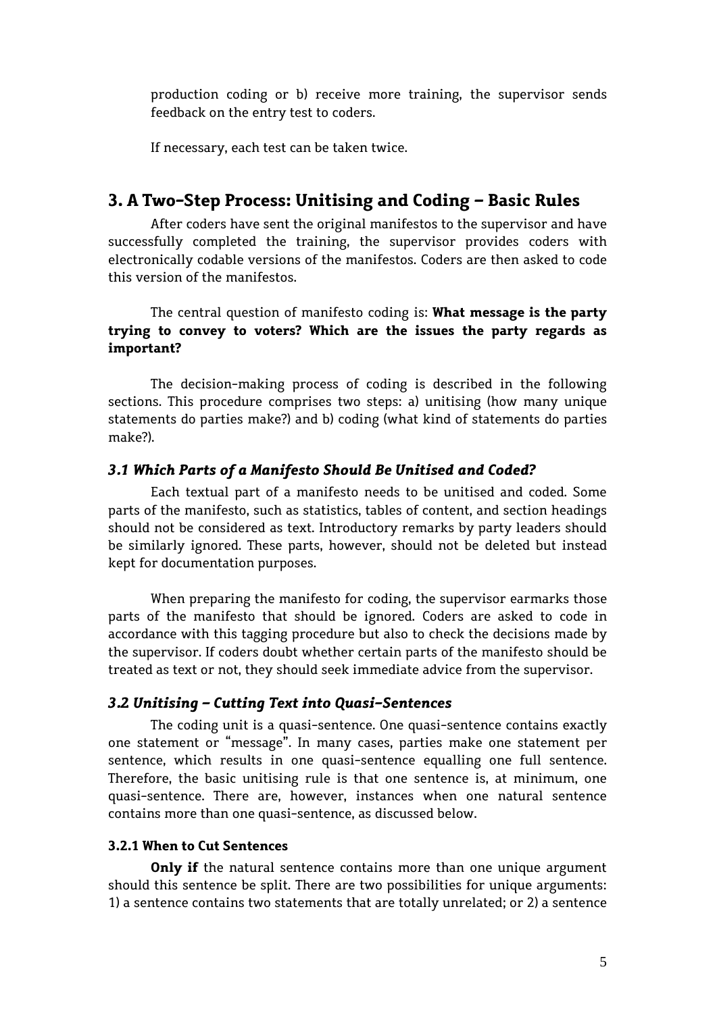production coding or b) receive more training, the supervisor sends feedback on the entry test to coders.

If necessary, each test can be taken twice.

# **3. A Two-Step Process: Unitising and Coding – Basic Rules**

After coders have sent the original manifestos to the supervisor and have successfully completed the training, the supervisor provides coders with electronically codable versions of the manifestos. Coders are then asked to code this version of the manifestos.

The central question of manifesto coding is: **What message is the party trying to convey to voters? Which are the issues the party regards as important?**

The decision-making process of coding is described in the following sections. This procedure comprises two steps: a) unitising (how many unique statements do parties make?) and b) coding (what kind of statements do parties make?).

#### *3.1 Which Parts of a Manifesto Should Be Unitised and Coded?*

Each textual part of a manifesto needs to be unitised and coded. Some parts of the manifesto, such as statistics, tables of content, and section headings should not be considered as text. Introductory remarks by party leaders should be similarly ignored. These parts, however, should not be deleted but instead kept for documentation purposes.

When preparing the manifesto for coding, the supervisor earmarks those parts of the manifesto that should be ignored. Coders are asked to code in accordance with this tagging procedure but also to check the decisions made by the supervisor. If coders doubt whether certain parts of the manifesto should be treated as text or not, they should seek immediate advice from the supervisor.

#### *3.2 Unitising – Cutting Text into Quasi-Sentences*

The coding unit is a quasi-sentence. One quasi-sentence contains exactly one statement or "message". In many cases, parties make one statement per sentence, which results in one quasi-sentence equalling one full sentence. Therefore, the basic unitising rule is that one sentence is, at minimum, one quasi-sentence. There are, however, instances when one natural sentence contains more than one quasi-sentence, as discussed below.

#### **3.2.1 When to Cut Sentences**

**Only if** the natural sentence contains more than one unique argument should this sentence be split. There are two possibilities for unique arguments: 1) a sentence contains two statements that are totally unrelated; or 2) a sentence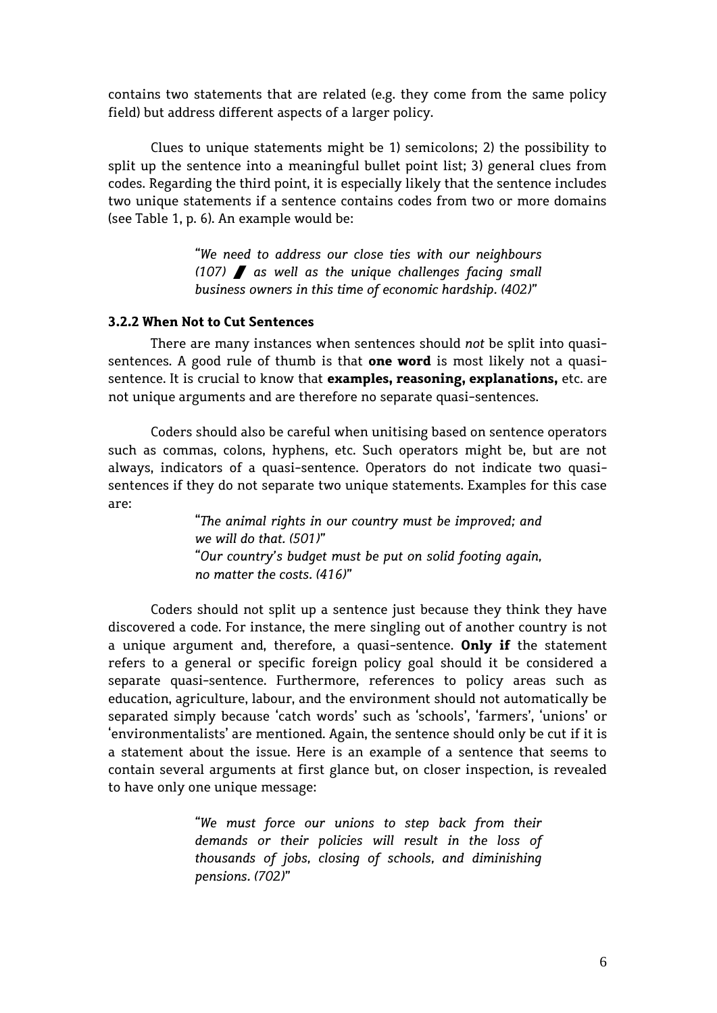contains two statements that are related (e.g. they come from the same policy field) but address different aspects of a larger policy.

Clues to unique statements might be 1) semicolons; 2) the possibility to split up the sentence into a meaningful bullet point list; 3) general clues from codes. Regarding the third point, it is especially likely that the sentence includes two unique statements if a sentence contains codes from two or more domains (see Table 1, p. 6). An example would be:

> *"We need to address our close ties with our neighbours (107) as well as the unique challenges facing small business owners in this time of economic hardship. (402)"*

#### **3.2.2 When Not to Cut Sentences**

There are many instances when sentences should *not* be split into quasisentences. A good rule of thumb is that **one word** is most likely not a quasisentence. It is crucial to know that **examples, reasoning, explanations,** etc. are not unique arguments and are therefore no separate quasi-sentences.

Coders should also be careful when unitising based on sentence operators such as commas, colons, hyphens, etc. Such operators might be, but are not always, indicators of a quasi-sentence. Operators do not indicate two quasisentences if they do not separate two unique statements. Examples for this case are:

> "*The animal rights in our country must be improved; and we will do that. (501)" "Our country's budget must be put on solid footing again, no matter the costs. (416)"*

Coders should not split up a sentence just because they think they have discovered a code. For instance, the mere singling out of another country is not a unique argument and, therefore, a quasi-sentence. **Only if** the statement refers to a general or specific foreign policy goal should it be considered a separate quasi-sentence. Furthermore, references to policy areas such as education, agriculture, labour, and the environment should not automatically be separated simply because 'catch words' such as 'schools', 'farmers', 'unions' or 'environmentalists' are mentioned. Again, the sentence should only be cut if it is a statement about the issue. Here is an example of a sentence that seems to contain several arguments at first glance but, on closer inspection, is revealed to have only one unique message:

> *"We must force our unions to step back from their demands or their policies will result in the loss of thousands of jobs, closing of schools, and diminishing pensions. (702)"*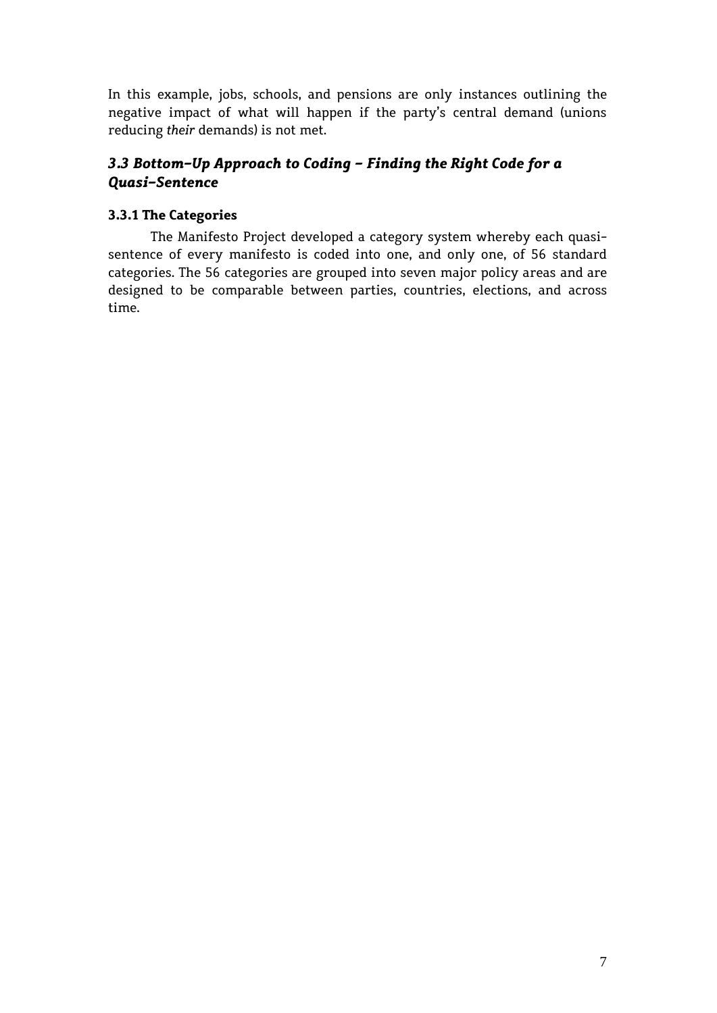In this example, jobs, schools, and pensions are only instances outlining the negative impact of what will happen if the party's central demand (unions reducing *their* demands) is not met.

# *3.3 Bottom-Up Approach to Coding - Finding the Right Code for a Quasi-Sentence*

### **3.3.1 The Categories**

The Manifesto Project developed a category system whereby each quasisentence of every manifesto is coded into one, and only one, of 56 standard categories. The 56 categories are grouped into seven major policy areas and are designed to be comparable between parties, countries, elections, and across time.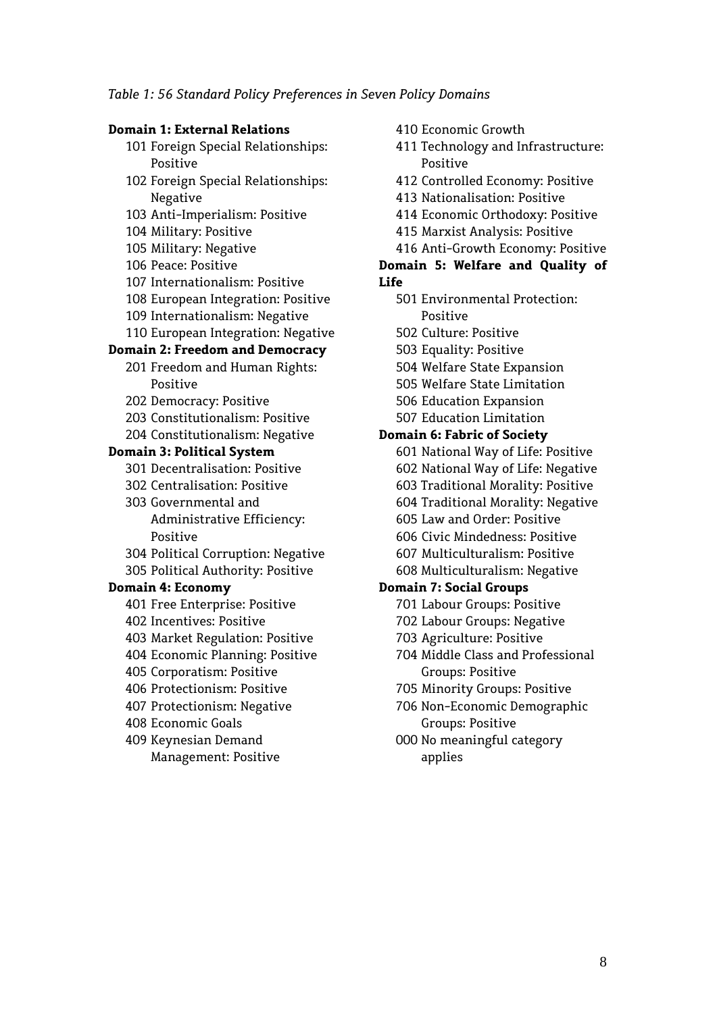*Table 1: 56 Standard Policy Preferences in Seven Policy Domains*

#### **Domain 1: External Relations**

- 101 Foreign Special Relationships: Positive
- 102 Foreign Special Relationships: Negative
- 103 Anti-Imperialism: Positive
- 104 Military: Positive
- 105 Military: Negative
- 106 Peace: Positive
- 107 Internationalism: Positive
- 108 European Integration: Positive
- 109 Internationalism: Negative
- 110 European Integration: Negative

#### **Domain 2: Freedom and Democracy**

- 201 Freedom and Human Rights: Positive
- 202 Democracy: Positive
- 203 Constitutionalism: Positive
- 204 Constitutionalism: Negative

#### **Domain 3: Political System**

- 301 Decentralisation: Positive
- 302 Centralisation: Positive
- 303 Governmental and Administrative Efficiency: Positive
- 304 Political Corruption: Negative
- 305 Political Authority: Positive

#### **Domain 4: Economy**

- 401 Free Enterprise: Positive
- 402 Incentives: Positive
- 403 Market Regulation: Positive
- 404 Economic Planning: Positive
- 405 Corporatism: Positive
- 406 Protectionism: Positive
- 407 Protectionism: Negative
- 408 Economic Goals
- 409 Keynesian Demand Management: Positive
- 410 Economic Growth
- 411 Technology and Infrastructure: Positive
- 412 Controlled Economy: Positive
- 413 Nationalisation: Positive
- 414 Economic Orthodoxy: Positive
- 415 Marxist Analysis: Positive
- 416 Anti-Growth Economy: Positive

#### **Domain 5: Welfare and Quality of Life**

- 501 Environmental Protection: Positive
- 502 Culture: Positive
- 503 Equality: Positive
- 504 Welfare State Expansion
- 505 Welfare State Limitation
- 506 Education Expansion
- 507 Education Limitation

#### **Domain 6: Fabric of Society**

- 601 National Way of Life: Positive
- 602 National Way of Life: Negative
- 603 Traditional Morality: Positive
- 604 Traditional Morality: Negative
- 605 Law and Order: Positive
- 606 Civic Mindedness: Positive
- 607 Multiculturalism: Positive 608 Multiculturalism: Negative

#### **Domain 7: Social Groups**

- 701 Labour Groups: Positive
- 702 Labour Groups: Negative
- 703 Agriculture: Positive
- 704 Middle Class and Professional Groups: Positive
- 705 Minority Groups: Positive
- 706 Non-Economic Demographic Groups: Positive
- 000 No meaningful category applies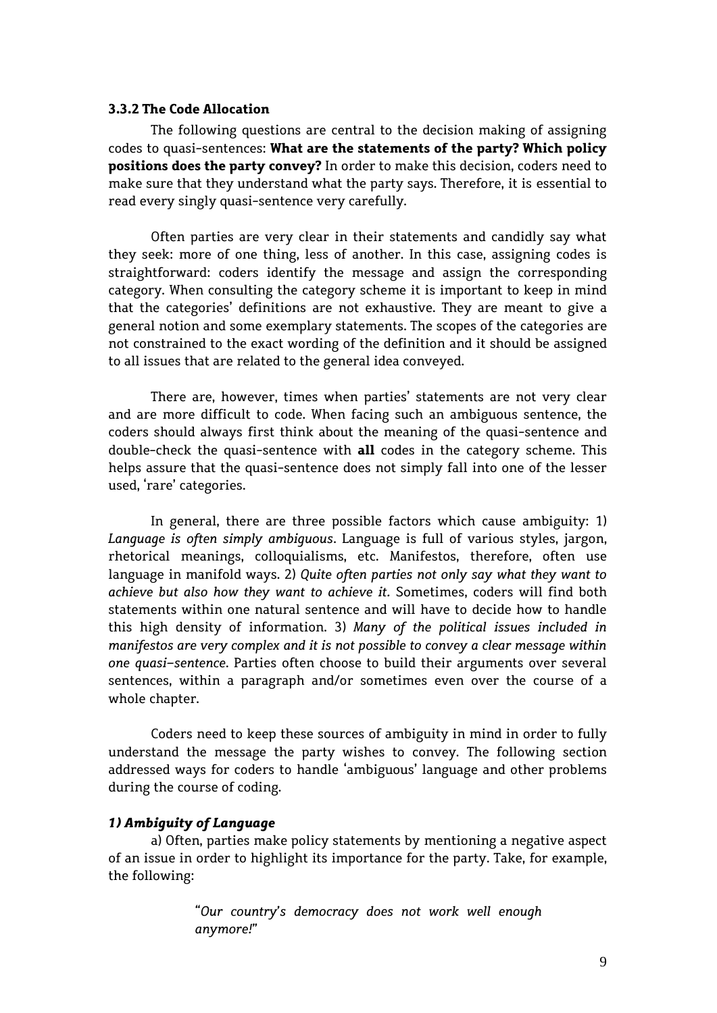#### **3.3.2 The Code Allocation**

The following questions are central to the decision making of assigning codes to quasi-sentences: **What are the statements of the party? Which policy positions does the party convey?** In order to make this decision, coders need to make sure that they understand what the party says. Therefore, it is essential to read every singly quasi-sentence very carefully.

Often parties are very clear in their statements and candidly say what they seek: more of one thing, less of another. In this case, assigning codes is straightforward: coders identify the message and assign the corresponding category. When consulting the category scheme it is important to keep in mind that the categories' definitions are not exhaustive. They are meant to give a general notion and some exemplary statements. The scopes of the categories are not constrained to the exact wording of the definition and it should be assigned to all issues that are related to the general idea conveyed.

There are, however, times when parties' statements are not very clear and are more difficult to code. When facing such an ambiguous sentence, the coders should always first think about the meaning of the quasi-sentence and double-check the quasi-sentence with **all** codes in the category scheme. This helps assure that the quasi-sentence does not simply fall into one of the lesser used, 'rare' categories.

In general, there are three possible factors which cause ambiguity: 1) *Language is often simply ambiguous*. Language is full of various styles, jargon, rhetorical meanings, colloquialisms, etc. Manifestos, therefore, often use language in manifold ways. 2) *Quite often parties not only say what they want to achieve but also how they want to achieve it.* Sometimes, coders will find both statements within one natural sentence and will have to decide how to handle this high density of information. 3) *Many of the political issues included in manifestos are very complex and it is not possible to convey a clear message within one quasi-sentence*. Parties often choose to build their arguments over several sentences, within a paragraph and/or sometimes even over the course of a whole chapter.

Coders need to keep these sources of ambiguity in mind in order to fully understand the message the party wishes to convey. The following section addressed ways for coders to handle 'ambiguous' language and other problems during the course of coding.

#### *1) Ambiguity of Language*

a) Often, parties make policy statements by mentioning a negative aspect of an issue in order to highlight its importance for the party. Take, for example, the following:

> *"Our country's democracy does not work well enough anymore!"*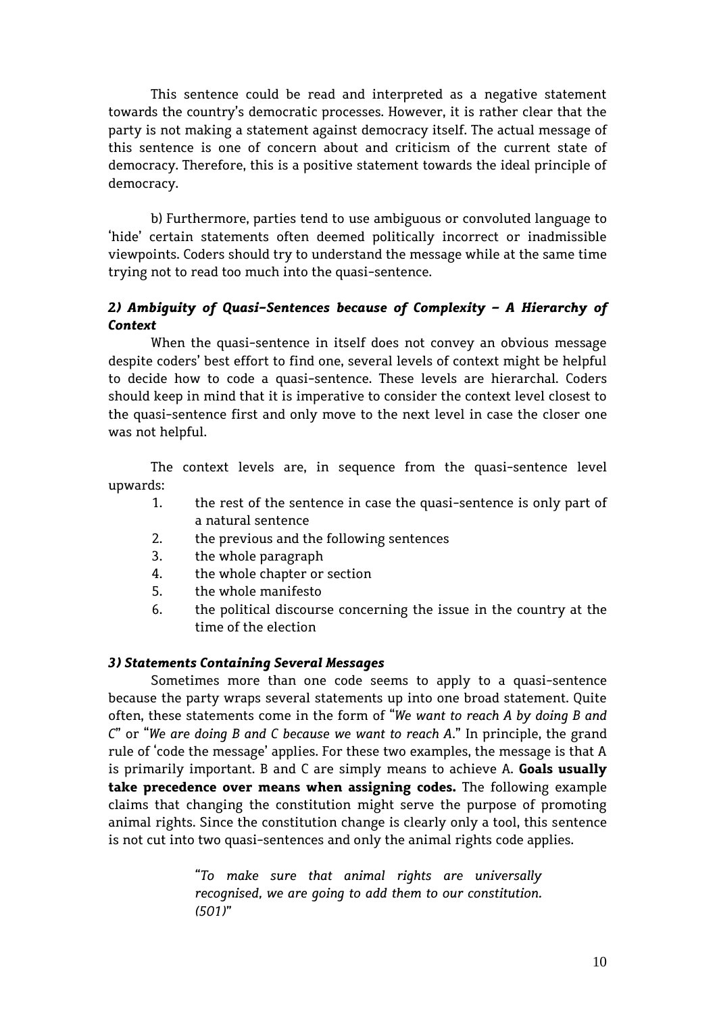This sentence could be read and interpreted as a negative statement towards the country's democratic processes. However, it is rather clear that the party is not making a statement against democracy itself. The actual message of this sentence is one of concern about and criticism of the current state of democracy. Therefore, this is a positive statement towards the ideal principle of democracy.

b) Furthermore, parties tend to use ambiguous or convoluted language to 'hide' certain statements often deemed politically incorrect or inadmissible viewpoints. Coders should try to understand the message while at the same time trying not to read too much into the quasi-sentence.

#### *2) Ambiguity of Quasi-Sentences because of Complexity – A Hierarchy of Context*

When the quasi-sentence in itself does not convey an obvious message despite coders' best effort to find one, several levels of context might be helpful to decide how to code a quasi-sentence. These levels are hierarchal. Coders should keep in mind that it is imperative to consider the context level closest to the quasi-sentence first and only move to the next level in case the closer one was not helpful.

The context levels are, in sequence from the quasi-sentence level upwards:

- 1. the rest of the sentence in case the quasi-sentence is only part of a natural sentence
- 2. the previous and the following sentences
- 3. the whole paragraph
- 4. the whole chapter or section
- 5. the whole manifesto
- 6. the political discourse concerning the issue in the country at the time of the election

#### *3) Statements Containing Several Messages*

Sometimes more than one code seems to apply to a quasi-sentence because the party wraps several statements up into one broad statement. Quite often, these statements come in the form of "*We want to reach A by doing B and C*" or "*We are doing B and C because we want to reach A*." In principle, the grand rule of 'code the message' applies. For these two examples, the message is that A is primarily important. B and C are simply means to achieve A. **Goals usually take precedence over means when assigning codes.** The following example claims that changing the constitution might serve the purpose of promoting animal rights. Since the constitution change is clearly only a tool, this sentence is not cut into two quasi-sentences and only the animal rights code applies.

> *"To make sure that animal rights are universally recognised, we are going to add them to our constitution. (501)"*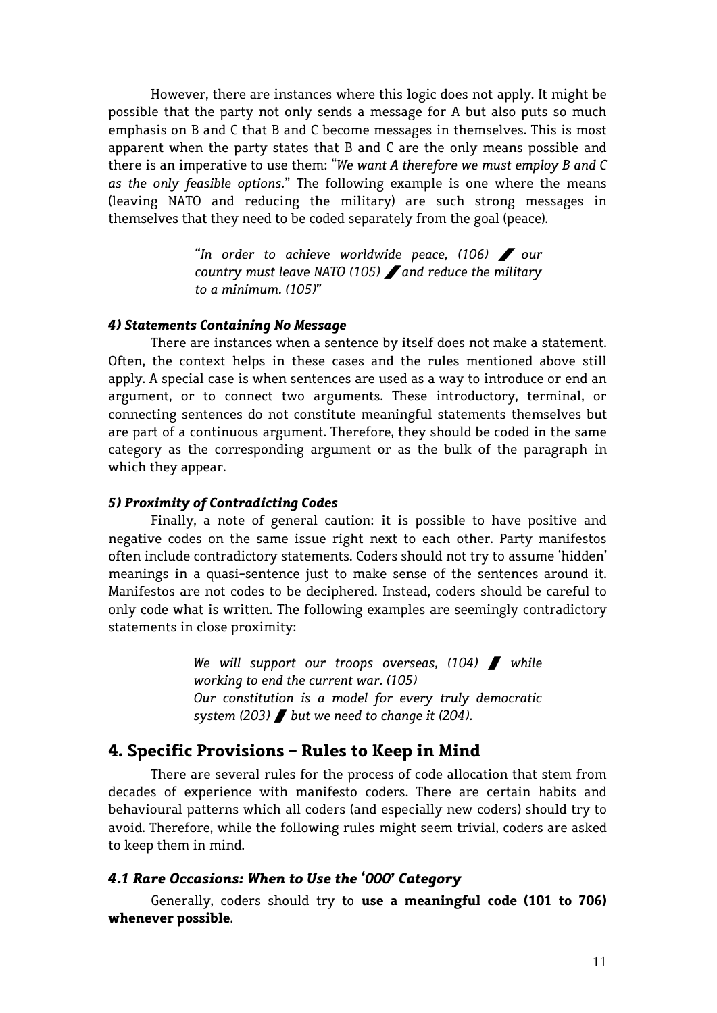However, there are instances where this logic does not apply. It might be possible that the party not only sends a message for A but also puts so much emphasis on B and C that B and C become messages in themselves. This is most apparent when the party states that B and C are the only means possible and there is an imperative to use them: "*We want A therefore we must employ B and C as the only feasible options.*" The following example is one where the means (leaving NATO and reducing the military) are such strong messages in themselves that they need to be coded separately from the goal (peace).

> *"In order to achieve worldwide peace, (106) our country must leave NATO (105) and reduce the military to a minimum. (105)"*

#### *4) Statements Containing No Message*

There are instances when a sentence by itself does not make a statement. Often, the context helps in these cases and the rules mentioned above still apply. A special case is when sentences are used as a way to introduce or end an argument, or to connect two arguments. These introductory, terminal, or connecting sentences do not constitute meaningful statements themselves but are part of a continuous argument. Therefore, they should be coded in the same category as the corresponding argument or as the bulk of the paragraph in which they appear.

#### *5) Proximity of Contradicting Codes*

Finally, a note of general caution: it is possible to have positive and negative codes on the same issue right next to each other. Party manifestos often include contradictory statements. Coders should not try to assume 'hidden' meanings in a quasi-sentence just to make sense of the sentences around it. Manifestos are not codes to be deciphered. Instead, coders should be careful to only code what is written. The following examples are seemingly contradictory statements in close proximity:

> *We will support our troops overseas, (104) while working to end the current war. (105) Our constitution is a model for every truly democratic system (203) but we need to change it (204).*

# **4. Specific Provisions - Rules to Keep in Mind**

There are several rules for the process of code allocation that stem from decades of experience with manifesto coders. There are certain habits and behavioural patterns which all coders (and especially new coders) should try to avoid. Therefore, while the following rules might seem trivial, coders are asked to keep them in mind.

#### *4.1 Rare Occasions: When to Use the '000' Category*

Generally, coders should try to **use a meaningful code (101 to 706) whenever possible**.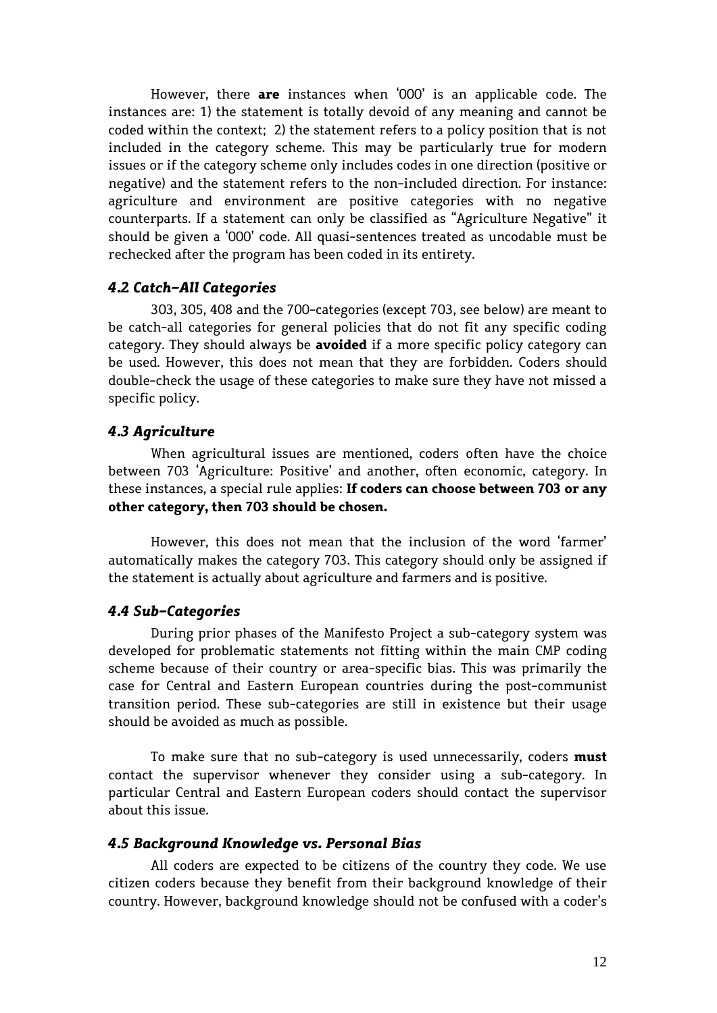However, there **are** instances when '000' is an applicable code. The instances are: 1) the statement is totally devoid of any meaning and cannot be coded within the context; 2) the statement refers to a policy position that is not included in the category scheme. This may be particularly true for modern issues or if the category scheme only includes codes in one direction (positive or negative) and the statement refers to the non-included direction. For instance: agriculture and environment are positive categories with no negative counterparts. If a statement can only be classified as "Agriculture Negative" it should be given a '000' code. All quasi-sentences treated as uncodable must be rechecked after the program has been coded in its entirety.

#### *4.2 Catch-All Categories*

303, 305, 408 and the 700-categories (except 703, see below) are meant to be catch-all categories for general policies that do not fit any specific coding category. They should always be **avoided** if a more specific policy category can be used. However, this does not mean that they are forbidden. Coders should double-check the usage of these categories to make sure they have not missed a specific policy.

#### *4.3 Agriculture*

When agricultural issues are mentioned, coders often have the choice between 703 'Agriculture: Positive' and another, often economic, category. In these instances, a special rule applies: **If coders can choose between 703 or any other category, then 703 should be chosen.**

However, this does not mean that the inclusion of the word 'farmer' automatically makes the category 703. This category should only be assigned if the statement is actually about agriculture and farmers and is positive.

#### *4.4 Sub-Categories*

During prior phases of the Manifesto Project a sub-category system was developed for problematic statements not fitting within the main CMP coding scheme because of their country or area-specific bias. This was primarily the case for Central and Eastern European countries during the post-communist transition period. These sub-categories are still in existence but their usage should be avoided as much as possible.

To make sure that no sub-category is used unnecessarily, coders **must** contact the supervisor whenever they consider using a sub-category. In particular Central and Eastern European coders should contact the supervisor about this issue.

#### *4.5 Background Knowledge vs. Personal Bias*

All coders are expected to be citizens of the country they code. We use citizen coders because they benefit from their background knowledge of their country. However, background knowledge should not be confused with a coder's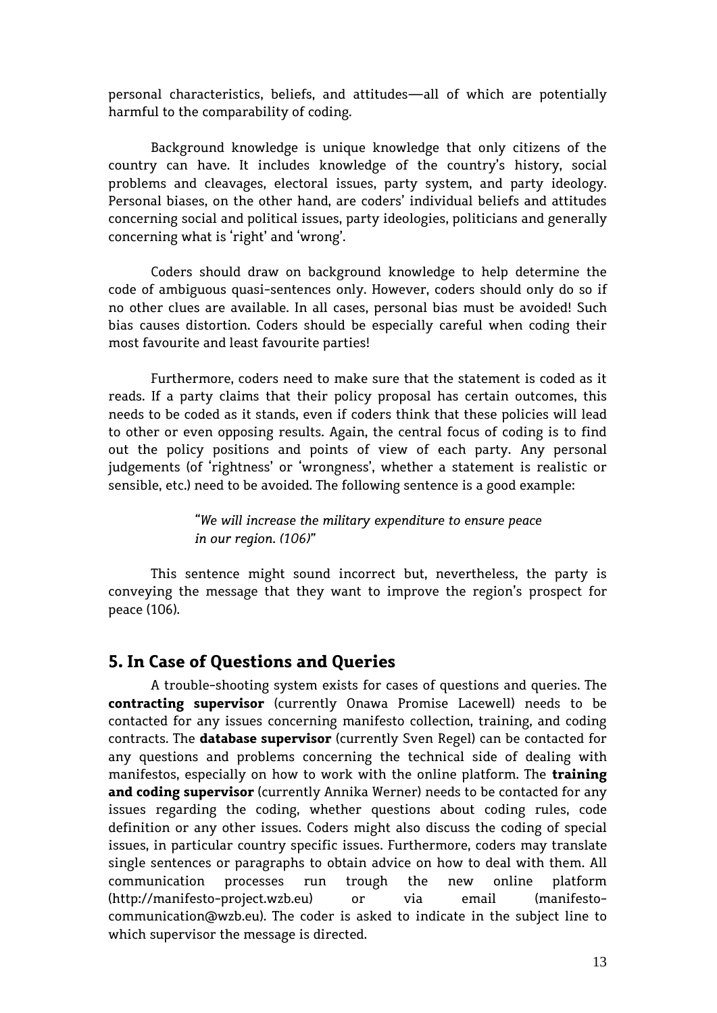personal characteristics, beliefs, and attitudes—all of which are potentially harmful to the comparability of coding.

Background knowledge is unique knowledge that only citizens of the country can have. It includes knowledge of the country's history, social problems and cleavages, electoral issues, party system, and party ideology. Personal biases, on the other hand, are coders' individual beliefs and attitudes concerning social and political issues, party ideologies, politicians and generally concerning what is 'right' and 'wrong'.

Coders should draw on background knowledge to help determine the code of ambiguous quasi-sentences only. However, coders should only do so if no other clues are available. In all cases, personal bias must be avoided! Such bias causes distortion. Coders should be especially careful when coding their most favourite and least favourite parties!

Furthermore, coders need to make sure that the statement is coded as it reads. If a party claims that their policy proposal has certain outcomes, this needs to be coded as it stands, even if coders think that these policies will lead to other or even opposing results. Again, the central focus of coding is to find out the policy positions and points of view of each party. Any personal judgements (of 'rightness' or 'wrongness', whether a statement is realistic or sensible, etc.) need to be avoided. The following sentence is a good example:

> *"We will increase the military expenditure to ensure peace in our region. (106)"*

This sentence might sound incorrect but, nevertheless, the party is conveying the message that they want to improve the region's prospect for peace (106).

#### **5. In Case of Questions and Queries**

A trouble-shooting system exists for cases of questions and queries. The **contracting supervisor** (currently Onawa Promise Lacewell) needs to be contacted for any issues concerning manifesto collection, training, and coding contracts. The **database supervisor** (currently Sven Regel) can be contacted for any questions and problems concerning the technical side of dealing with manifestos, especially on how to work with the online platform. The **training and coding supervisor** (currently Annika Werner) needs to be contacted for any issues regarding the coding, whether questions about coding rules, code definition or any other issues. Coders might also discuss the coding of special issues, in particular country specific issues. Furthermore, coders may translate single sentences or paragraphs to obtain advice on how to deal with them. All communication processes run trough the new online platform (http://manifesto-project.wzb.eu) or via email (manifestocommunication@wzb.eu). The coder is asked to indicate in the subject line to which supervisor the message is directed.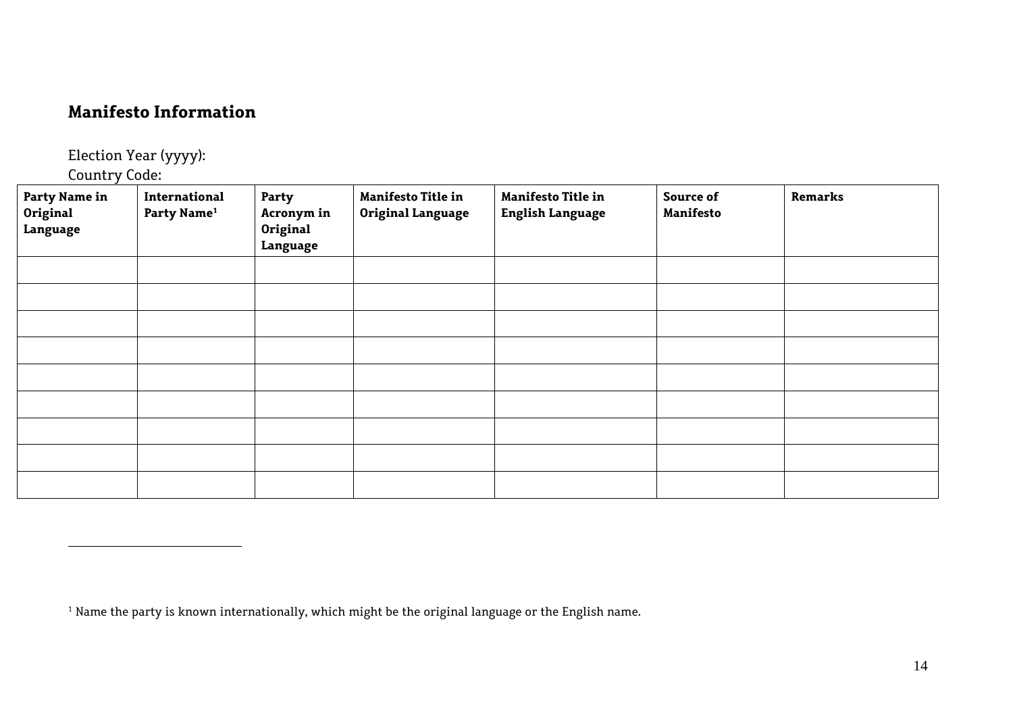# **Manifesto Information**

Election Year (yyyy):

Country Code:

 $\overline{a}$ 

| Party Name in<br>Original<br>Language | International<br>Party Name <sup>1</sup> | Party<br>Acronym in<br>Original<br>Language | <b>Manifesto Title in</b><br>Original Language | <b>Manifesto Title in</b><br>English Language | <b>Source of</b><br><b>Manifesto</b> | Remarks |
|---------------------------------------|------------------------------------------|---------------------------------------------|------------------------------------------------|-----------------------------------------------|--------------------------------------|---------|
|                                       |                                          |                                             |                                                |                                               |                                      |         |
|                                       |                                          |                                             |                                                |                                               |                                      |         |
|                                       |                                          |                                             |                                                |                                               |                                      |         |
|                                       |                                          |                                             |                                                |                                               |                                      |         |
|                                       |                                          |                                             |                                                |                                               |                                      |         |
|                                       |                                          |                                             |                                                |                                               |                                      |         |
|                                       |                                          |                                             |                                                |                                               |                                      |         |
|                                       |                                          |                                             |                                                |                                               |                                      |         |
|                                       |                                          |                                             |                                                |                                               |                                      |         |

 $^{\rm 1}$  Name the party is known internationally, which might be the original language or the English name.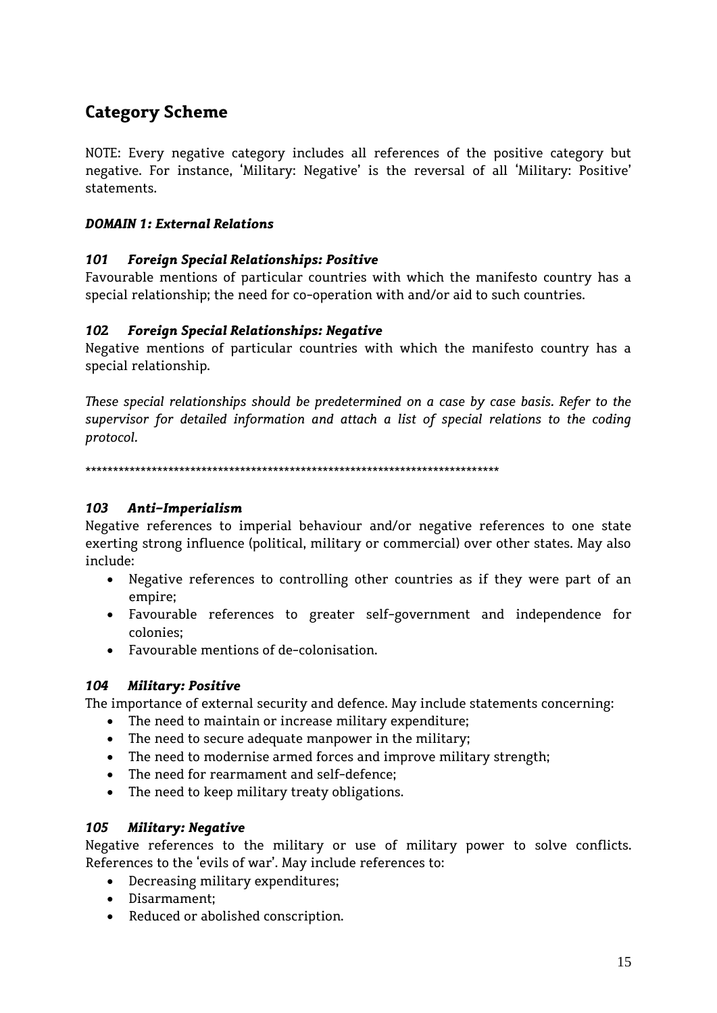# **Category Scheme**

NOTE: Every negative category includes all references of the positive category but negative. For instance, 'Military: Negative' is the reversal of all 'Military: Positive' statements.

#### *DOMAIN 1: External Relations*

#### *101 Foreign Special Relationships: Positive*

Favourable mentions of particular countries with which the manifesto country has a special relationship; the need for co-operation with and/or aid to such countries.

#### *102 Foreign Special Relationships: Negative*

Negative mentions of particular countries with which the manifesto country has a special relationship.

*These special relationships should be predetermined on a case by case basis. Refer to the supervisor for detailed information and attach a list of special relations to the coding protocol.*

\*\*\*\*\*\*\*\*\*\*\*\*\*\*\*\*\*\*\*\*\*\*\*\*\*\*\*\*\*\*\*\*\*\*\*\*\*\*\*\*\*\*\*\*\*\*\*\*\*\*\*\*\*\*\*\*\*\*\*\*\*\*\*\*\*\*\*\*\*\*\*\*\*\*\*

#### *103 Anti-Imperialism*

Negative references to imperial behaviour and/or negative references to one state exerting strong influence (political, military or commercial) over other states. May also include:

- Negative references to controlling other countries as if they were part of an empire;
- Favourable references to greater self-government and independence for colonies;
- Favourable mentions of de-colonisation.

### *104 Military: Positive*

The importance of external security and defence. May include statements concerning:

- The need to maintain or increase military expenditure;
- The need to secure adequate manpower in the military;
- The need to modernise armed forces and improve military strength;
- The need for rearmament and self-defence;
- The need to keep military treaty obligations.

#### *105 Military: Negative*

Negative references to the military or use of military power to solve conflicts. References to the 'evils of war'. May include references to:

- Decreasing military expenditures;
- Disarmament;
- Reduced or abolished conscription.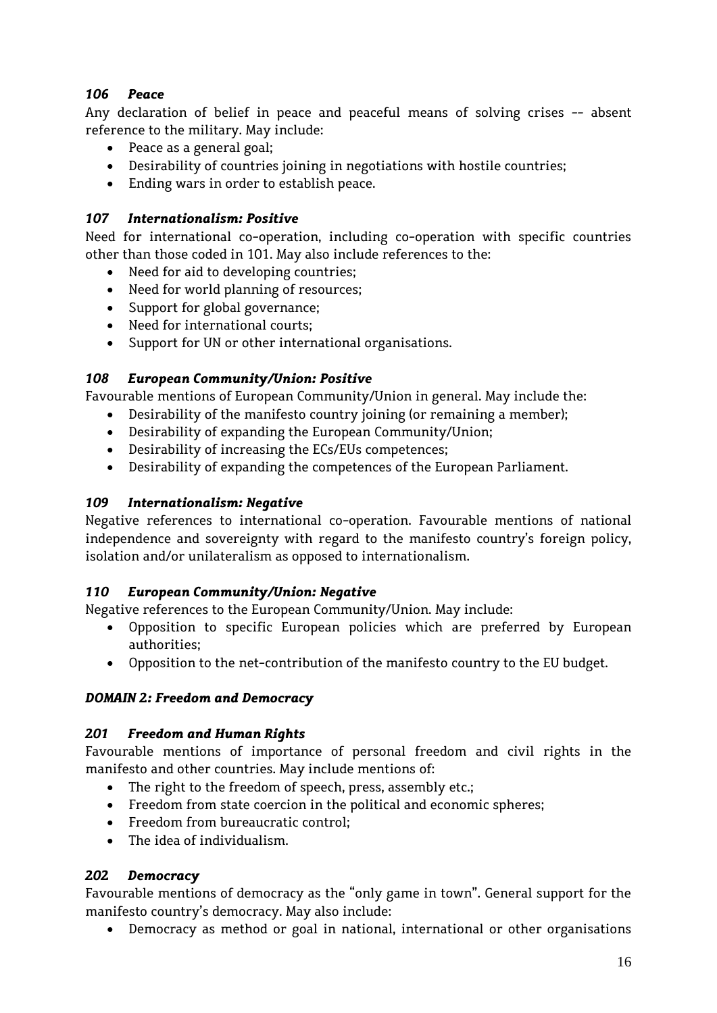#### *106 Peace*

Any declaration of belief in peace and peaceful means of solving crises -- absent reference to the military. May include:

- Peace as a general goal;
- Desirability of countries joining in negotiations with hostile countries;
- Ending wars in order to establish peace.

#### *107 Internationalism: Positive*

Need for international co-operation, including co-operation with specific countries other than those coded in 101. May also include references to the:

- Need for aid to developing countries;
- Need for world planning of resources;
- Support for global governance;
- Need for international courts;
- Support for UN or other international organisations.

#### *108 European Community/Union: Positive*

Favourable mentions of European Community/Union in general. May include the:

- Desirability of the manifesto country joining (or remaining a member);
- Desirability of expanding the European Community/Union;
- Desirability of increasing the ECs/EUs competences;
- Desirability of expanding the competences of the European Parliament.

#### *109 Internationalism: Negative*

Negative references to international co-operation. Favourable mentions of national independence and sovereignty with regard to the manifesto country's foreign policy, isolation and/or unilateralism as opposed to internationalism.

#### *110 European Community/Union: Negative*

Negative references to the European Community/Union. May include:

- Opposition to specific European policies which are preferred by European authorities;
- Opposition to the net-contribution of the manifesto country to the EU budget.

#### *DOMAIN 2: Freedom and Democracy*

#### *201 Freedom and Human Rights*

Favourable mentions of importance of personal freedom and civil rights in the manifesto and other countries. May include mentions of:

- The right to the freedom of speech, press, assembly etc.;
- Freedom from state coercion in the political and economic spheres;
- Freedom from bureaucratic control;
- The idea of individualism.

#### *202 Democracy*

Favourable mentions of democracy as the "only game in town". General support for the manifesto country's democracy. May also include:

Democracy as method or goal in national, international or other organisations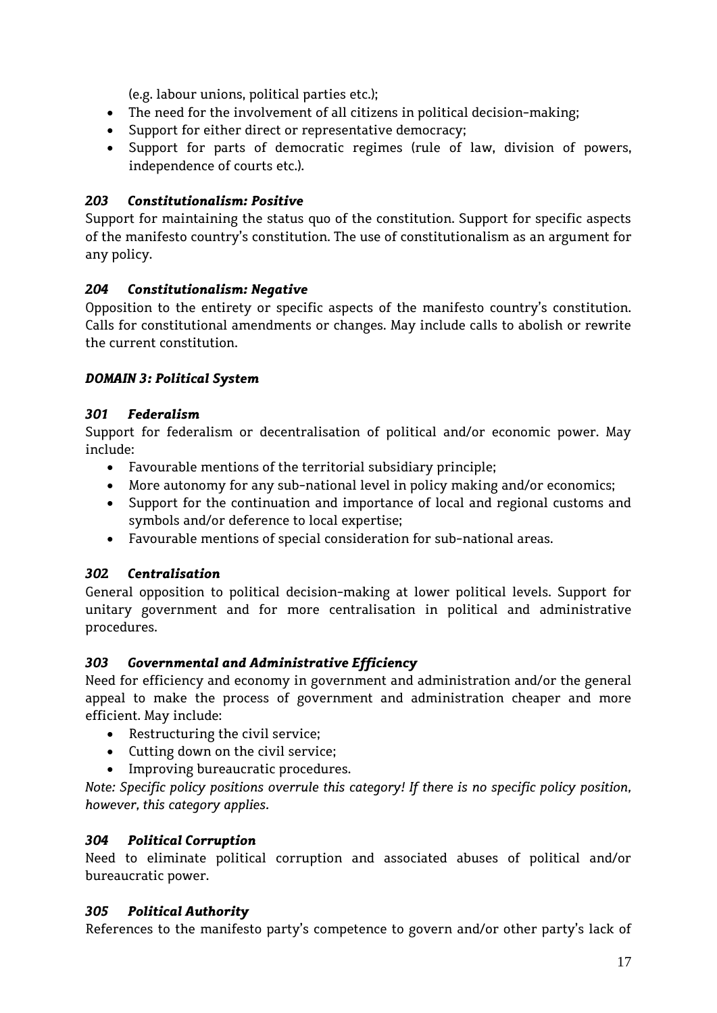(e.g. labour unions, political parties etc.);

- The need for the involvement of all citizens in political decision-making;
- Support for either direct or representative democracy;
- Support for parts of democratic regimes (rule of law, division of powers, independence of courts etc.).

### *203 Constitutionalism: Positive*

Support for maintaining the status quo of the constitution. Support for specific aspects of the manifesto country's constitution. The use of constitutionalism as an argument for any policy.

### *204 Constitutionalism: Negative*

Opposition to the entirety or specific aspects of the manifesto country's constitution. Calls for constitutional amendments or changes. May include calls to abolish or rewrite the current constitution.

# *DOMAIN 3: Political System*

### *301 Federalism*

Support for federalism or decentralisation of political and/or economic power. May include:

- Favourable mentions of the territorial subsidiary principle;
- More autonomy for any sub-national level in policy making and/or economics;
- Support for the continuation and importance of local and regional customs and symbols and/or deference to local expertise;
- Favourable mentions of special consideration for sub-national areas.

### *302 Centralisation*

General opposition to political decision-making at lower political levels. Support for unitary government and for more centralisation in political and administrative procedures.

# *303 Governmental and Administrative Efficiency*

Need for efficiency and economy in government and administration and/or the general appeal to make the process of government and administration cheaper and more efficient. May include:

- Restructuring the civil service;
- Cutting down on the civil service;
- Improving bureaucratic procedures.

*Note: Specific policy positions overrule this category! If there is no specific policy position, however, this category applies.*

### *304 Political Corruption*

Need to eliminate political corruption and associated abuses of political and/or bureaucratic power.

### *305 Political Authority*

References to the manifesto party's competence to govern and/or other party's lack of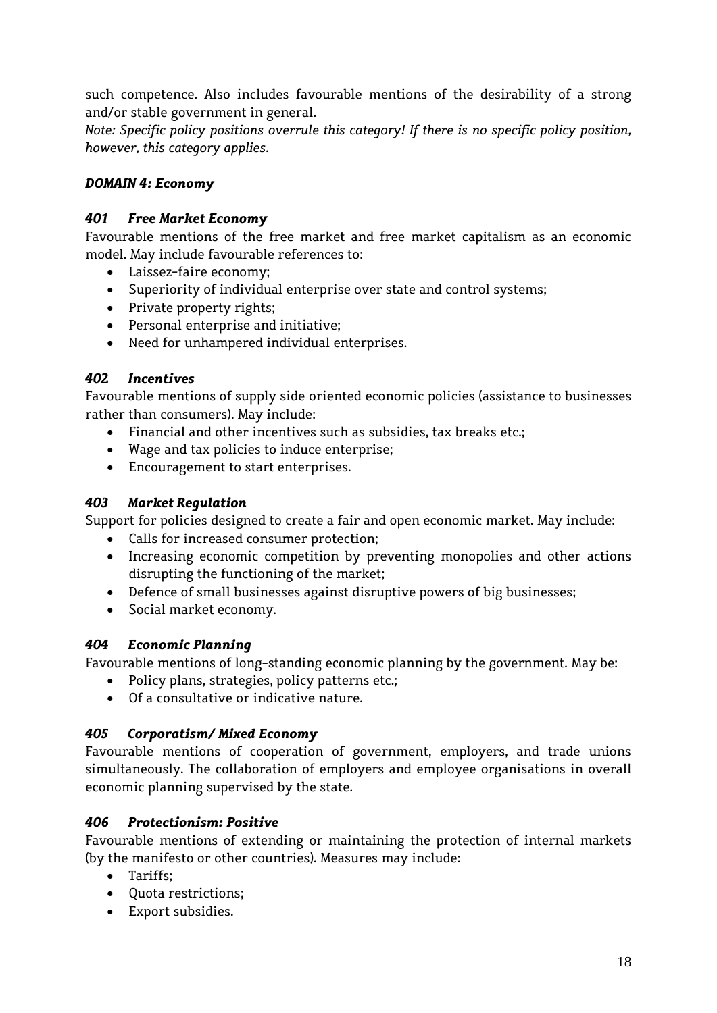such competence. Also includes favourable mentions of the desirability of a strong and/or stable government in general.

*Note: Specific policy positions overrule this category! If there is no specific policy position, however, this category applies.*

#### *DOMAIN 4: Economy*

#### *401 Free Market Economy*

Favourable mentions of the free market and free market capitalism as an economic model. May include favourable references to:

- Laissez-faire economy;
- Superiority of individual enterprise over state and control systems;
- Private property rights;
- Personal enterprise and initiative;
- Need for unhampered individual enterprises.

#### *402 Incentives*

Favourable mentions of supply side oriented economic policies (assistance to businesses rather than consumers). May include:

- Financial and other incentives such as subsidies, tax breaks etc.;
- Wage and tax policies to induce enterprise;
- Encouragement to start enterprises.

#### *403 Market Regulation*

Support for policies designed to create a fair and open economic market. May include:

- Calls for increased consumer protection;
- Increasing economic competition by preventing monopolies and other actions disrupting the functioning of the market;
- Defence of small businesses against disruptive powers of big businesses;
- Social market economy.

### *404 Economic Planning*

Favourable mentions of long-standing economic planning by the government. May be:

- Policy plans, strategies, policy patterns etc.;
- Of a consultative or indicative nature.

#### *405 Corporatism/ Mixed Economy*

Favourable mentions of cooperation of government, employers, and trade unions simultaneously. The collaboration of employers and employee organisations in overall economic planning supervised by the state.

#### *406 Protectionism: Positive*

Favourable mentions of extending or maintaining the protection of internal markets (by the manifesto or other countries). Measures may include:

- Tariffs;
- Quota restrictions;
- Export subsidies.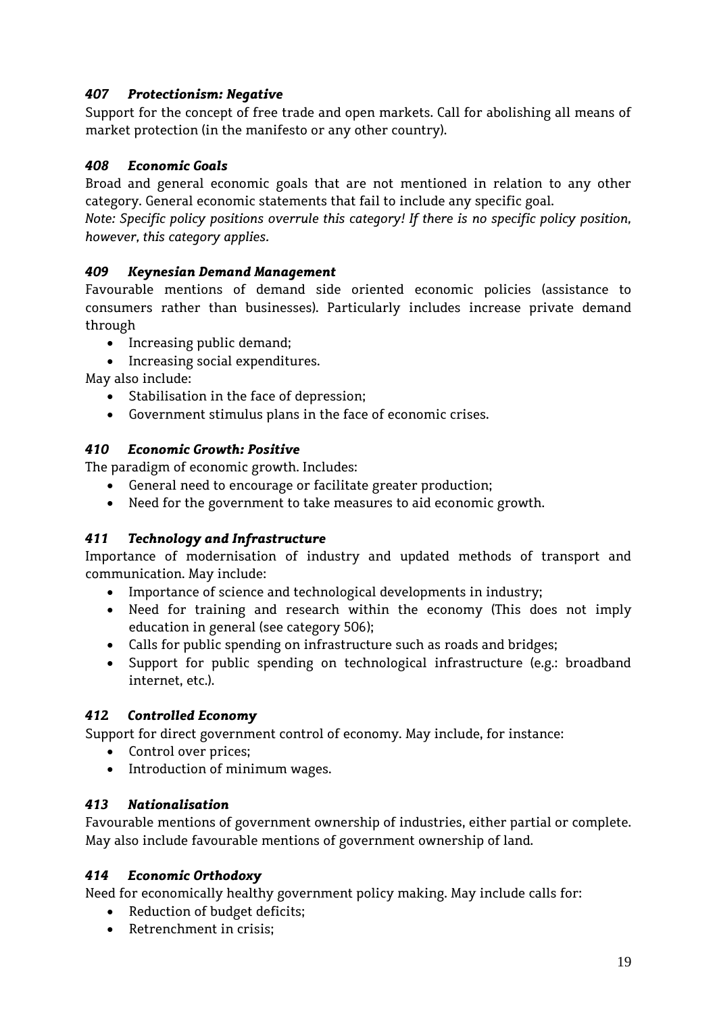#### *407 Protectionism: Negative*

Support for the concept of free trade and open markets. Call for abolishing all means of market protection (in the manifesto or any other country).

#### *408 Economic Goals*

Broad and general economic goals that are not mentioned in relation to any other category. General economic statements that fail to include any specific goal.

*Note: Specific policy positions overrule this category! If there is no specific policy position, however, this category applies.*

#### *409 Keynesian Demand Management*

Favourable mentions of demand side oriented economic policies (assistance to consumers rather than businesses). Particularly includes increase private demand through

- Increasing public demand;
- Increasing social expenditures.

May also include:

- Stabilisation in the face of depression;
- Government stimulus plans in the face of economic crises.

#### *410 Economic Growth: Positive*

The paradigm of economic growth. Includes:

- General need to encourage or facilitate greater production;
- Need for the government to take measures to aid economic growth.

### *411 Technology and Infrastructure*

Importance of modernisation of industry and updated methods of transport and communication. May include:

- Importance of science and technological developments in industry;
- Need for training and research within the economy (This does not imply education in general (see category 506);
- Calls for public spending on infrastructure such as roads and bridges;
- Support for public spending on technological infrastructure (e.g.: broadband internet, etc.).

#### *412 Controlled Economy*

Support for direct government control of economy. May include, for instance:

- Control over prices;
- Introduction of minimum wages.

#### *413 Nationalisation*

Favourable mentions of government ownership of industries, either partial or complete. May also include favourable mentions of government ownership of land.

#### *414 Economic Orthodoxy*

Need for economically healthy government policy making. May include calls for:

- Reduction of budget deficits;
- Retrenchment in crisis: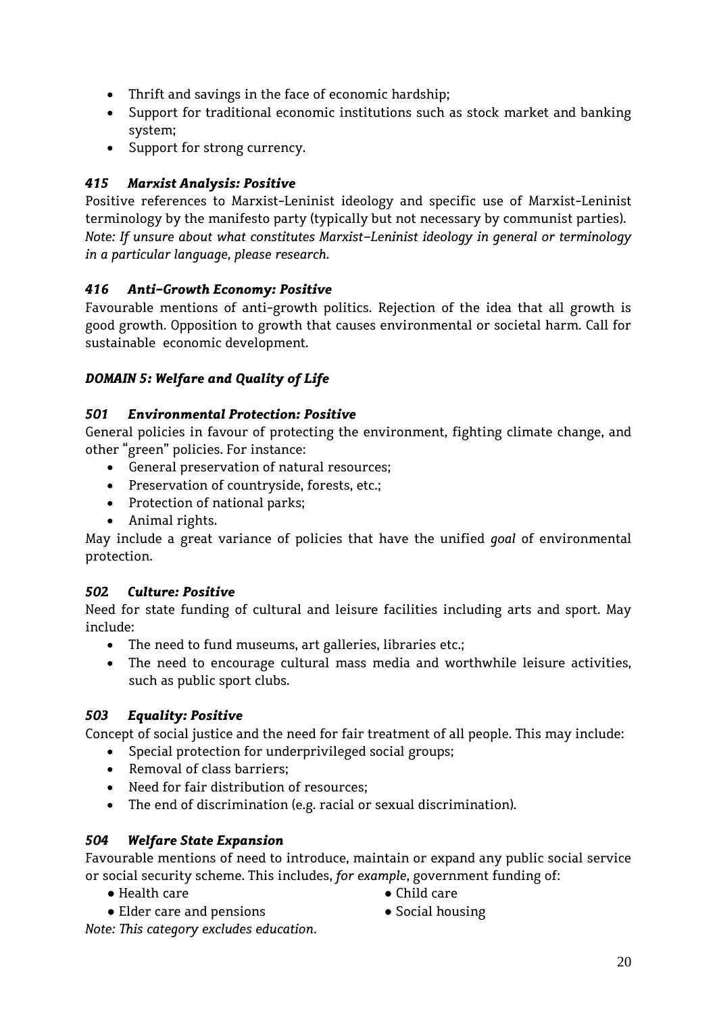- Thrift and savings in the face of economic hardship;
- Support for traditional economic institutions such as stock market and banking system;
- Support for strong currency.

# *415 Marxist Analysis: Positive*

Positive references to Marxist-Leninist ideology and specific use of Marxist-Leninist terminology by the manifesto party (typically but not necessary by communist parties). *Note: If unsure about what constitutes Marxist-Leninist ideology in general or terminology in a particular language, please research.*

# *416 Anti-Growth Economy: Positive*

Favourable mentions of anti-growth politics. Rejection of the idea that all growth is good growth. Opposition to growth that causes environmental or societal harm. Call for sustainable economic development.

# *DOMAIN 5: Welfare and Quality of Life*

### *501 Environmental Protection: Positive*

General policies in favour of protecting the environment, fighting climate change, and other "green" policies. For instance:

- General preservation of natural resources;
- Preservation of countryside, forests, etc.;
- Protection of national parks;
- Animal rights.

May include a great variance of policies that have the unified *goal* of environmental protection.

### *502 Culture: Positive*

Need for state funding of cultural and leisure facilities including arts and sport. May include:

- The need to fund museums, art galleries, libraries etc.;
- The need to encourage cultural mass media and worthwhile leisure activities, such as public sport clubs.

### *503 Equality: Positive*

Concept of social justice and the need for fair treatment of all people. This may include:

- Special protection for underprivileged social groups;
- Removal of class barriers;
- Need for fair distribution of resources:
- The end of discrimination (e.g. racial or sexual discrimination).

# *504 Welfare State Expansion*

Favourable mentions of need to introduce, maintain or expand any public social service or social security scheme. This includes, *for example*, government funding of:

- Health care **•** Child care
- Elder care and pensions Social housing
- -

*Note: This category excludes education.*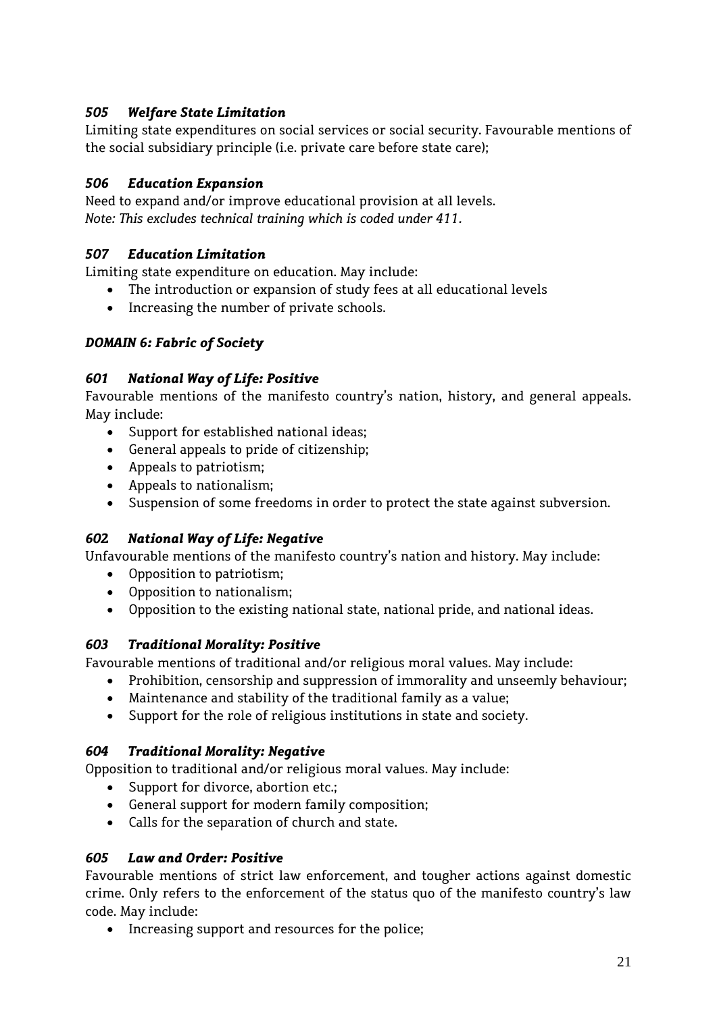# *505 Welfare State Limitation*

Limiting state expenditures on social services or social security. Favourable mentions of the social subsidiary principle (i.e. private care before state care);

# *506 Education Expansion*

Need to expand and/or improve educational provision at all levels. *Note: This excludes technical training which is coded under 411.*

# *507 Education Limitation*

Limiting state expenditure on education. May include:

- The introduction or expansion of study fees at all educational levels
- Increasing the number of private schools.

# *DOMAIN 6: Fabric of Society*

# *601 National Way of Life: Positive*

Favourable mentions of the manifesto country's nation, history, and general appeals. May include:

- Support for established national ideas;
- General appeals to pride of citizenship;
- Appeals to patriotism;
- Appeals to nationalism;
- Suspension of some freedoms in order to protect the state against subversion.

# *602 National Way of Life: Negative*

Unfavourable mentions of the manifesto country's nation and history. May include:

- Opposition to patriotism;
- Opposition to nationalism;
- Opposition to the existing national state, national pride, and national ideas.

### *603 Traditional Morality: Positive*

Favourable mentions of traditional and/or religious moral values. May include:

- Prohibition, censorship and suppression of immorality and unseemly behaviour;
- Maintenance and stability of the traditional family as a value;
- Support for the role of religious institutions in state and society.

### *604 Traditional Morality: Negative*

Opposition to traditional and/or religious moral values. May include:

- Support for divorce, abortion etc.;
- General support for modern family composition;
- Calls for the separation of church and state.

# *605 Law and Order: Positive*

Favourable mentions of strict law enforcement, and tougher actions against domestic crime. Only refers to the enforcement of the status quo of the manifesto country's law code. May include:

• Increasing support and resources for the police;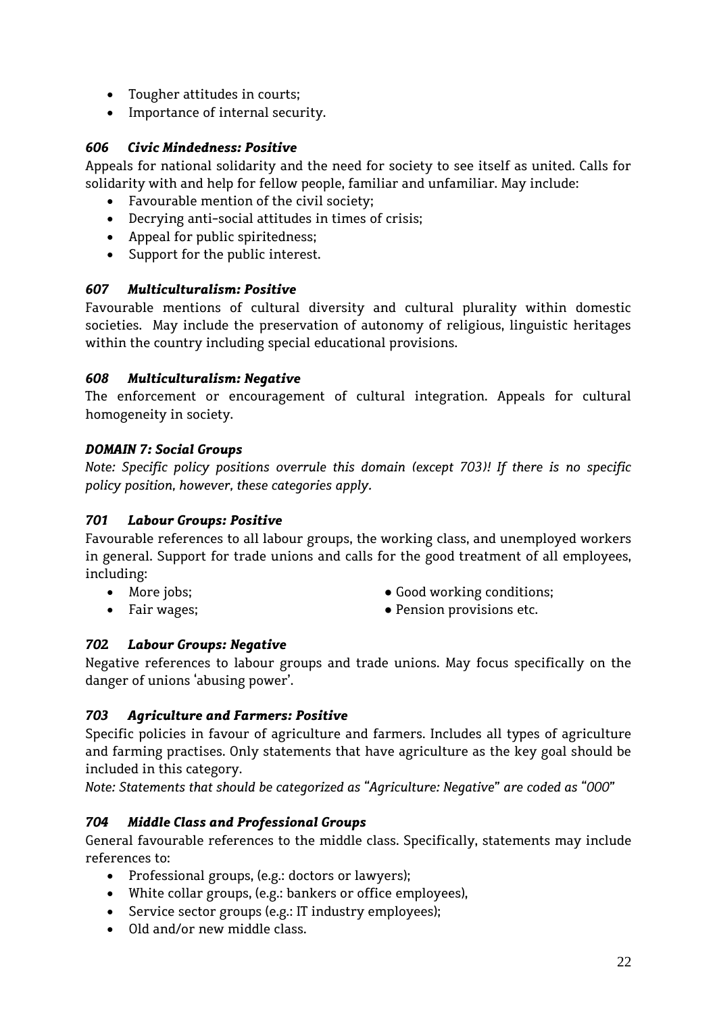- Tougher attitudes in courts;
- Importance of internal security.

# *606 Civic Mindedness: Positive*

Appeals for national solidarity and the need for society to see itself as united. Calls for solidarity with and help for fellow people, familiar and unfamiliar. May include:

- Favourable mention of the civil society;
- Decrying anti-social attitudes in times of crisis;
- Appeal for public spiritedness;
- Support for the public interest.

# *607 Multiculturalism: Positive*

Favourable mentions of cultural diversity and cultural plurality within domestic societies. May include the preservation of autonomy of religious, linguistic heritages within the country including special educational provisions.

### *608 Multiculturalism: Negative*

The enforcement or encouragement of cultural integration. Appeals for cultural homogeneity in society.

# *DOMAIN 7: Social Groups*

*Note: Specific policy positions overrule this domain (except 703)! If there is no specific policy position, however, these categories apply.*

### *701 Labour Groups: Positive*

Favourable references to all labour groups, the working class, and unemployed workers in general. Support for trade unions and calls for the good treatment of all employees, including:

- 
- 
- More jobs; **•** Good working conditions;
- Fair wages;  $\bullet$  Pension provisions etc.

### *702 Labour Groups: Negative*

Negative references to labour groups and trade unions. May focus specifically on the danger of unions 'abusing power'.

### *703 Agriculture and Farmers: Positive*

Specific policies in favour of agriculture and farmers. Includes all types of agriculture and farming practises. Only statements that have agriculture as the key goal should be included in this category.

*Note: Statements that should be categorized as "Agriculture: Negative" are coded as "000"*

# *704 Middle Class and Professional Groups*

General favourable references to the middle class. Specifically, statements may include references to:

- Professional groups, (e.g.: doctors or lawyers);
- White collar groups, (e.g.: bankers or office employees),
- Service sector groups (e.g.: IT industry employees);
- Old and/or new middle class.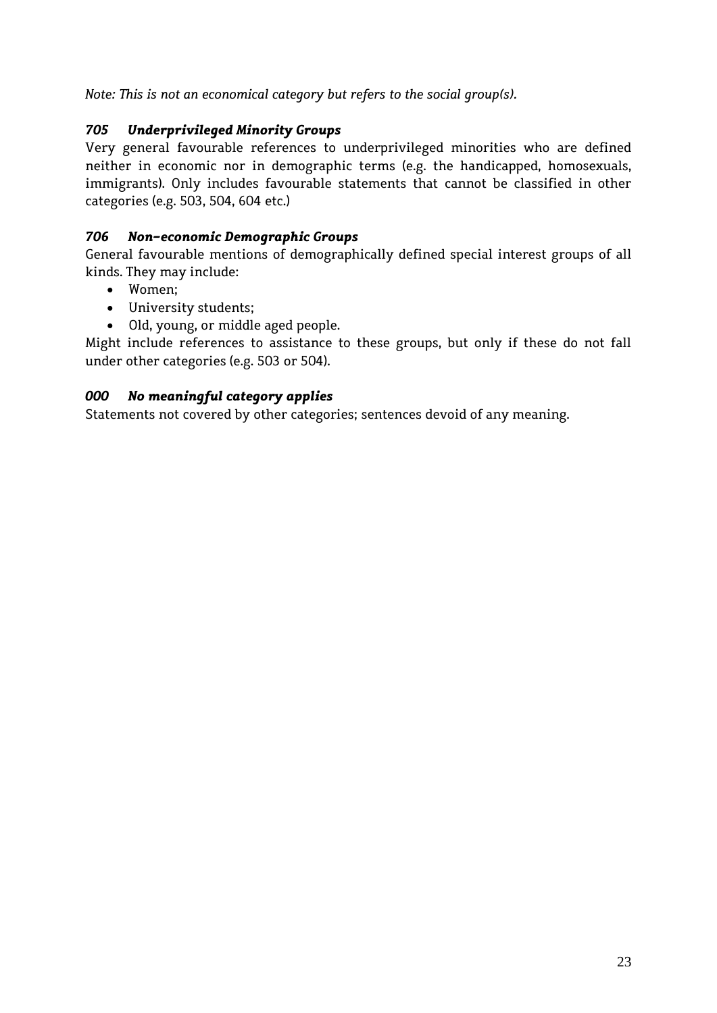*Note: This is not an economical category but refers to the social group(s).*

# *705 Underprivileged Minority Groups*

Very general favourable references to underprivileged minorities who are defined neither in economic nor in demographic terms (e.g. the handicapped, homosexuals, immigrants). Only includes favourable statements that cannot be classified in other categories (e.g. 503, 504, 604 etc.)

# *706 Non-economic Demographic Groups*

General favourable mentions of demographically defined special interest groups of all kinds. They may include:

- Women;
- University students;
- Old, young, or middle aged people.

Might include references to assistance to these groups, but only if these do not fall under other categories (e.g. 503 or 504).

### *000 No meaningful category applies*

Statements not covered by other categories; sentences devoid of any meaning.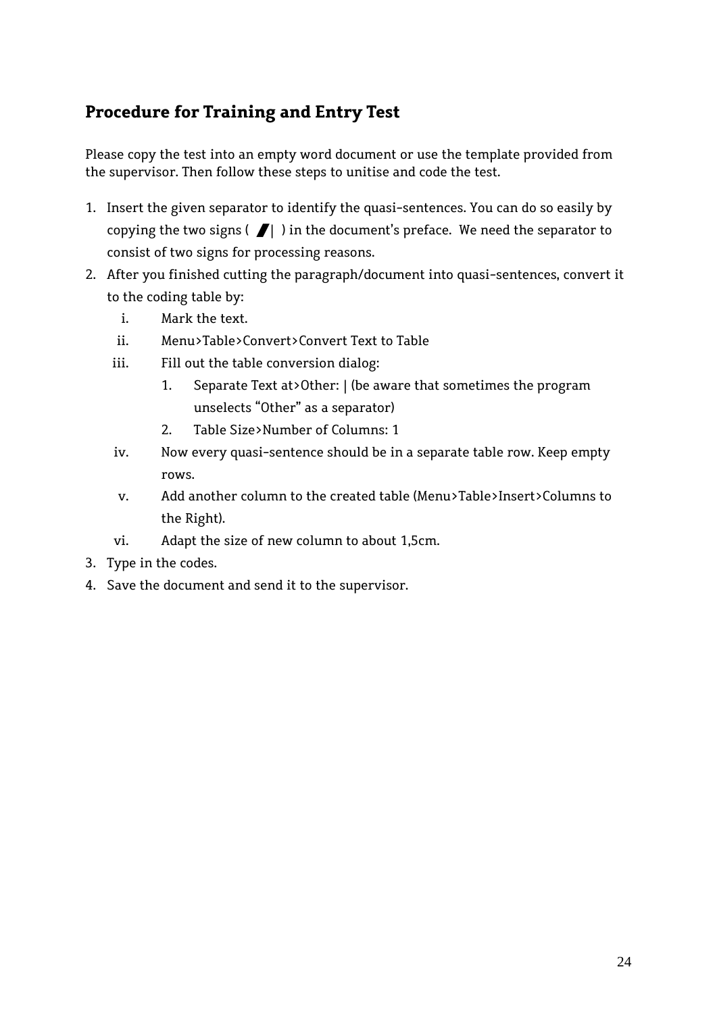# **Procedure for Training and Entry Test**

Please copy the test into an empty word document or use the template provided from the supervisor. Then follow these steps to unitise and code the test.

- 1. Insert the given separator to identify the quasi-sentences. You can do so easily by copying the two signs ( $\blacksquare$ ) in the document's preface. We need the separator to consist of two signs for processing reasons.
- 2. After you finished cutting the paragraph/document into quasi-sentences, convert it to the coding table by:
	- i. Mark the text.
	- ii. Menu>Table>Convert>Convert Text to Table
	- iii. Fill out the table conversion dialog:
		- 1. Separate Text at>Other: | (be aware that sometimes the program unselects "Other" as a separator)
		- 2. Table Size>Number of Columns: 1
	- iv. Now every quasi-sentence should be in a separate table row. Keep empty rows.
	- v. Add another column to the created table (Menu>Table>Insert>Columns to the Right).
	- vi. Adapt the size of new column to about 1,5cm.
- 3. Type in the codes.
- 4. Save the document and send it to the supervisor.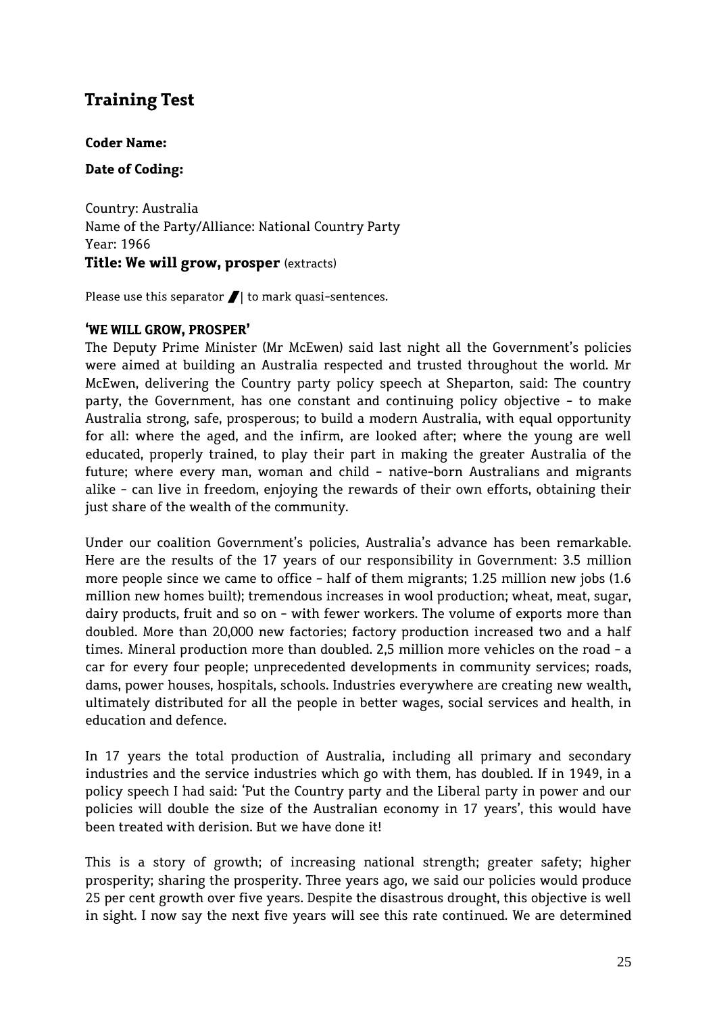# **Training Test**

#### **Coder Name:**

#### **Date of Coding:**

Country: Australia Name of the Party/Alliance: National Country Party Year: 1966 **Title: We will grow, prosper** (extracts)

Please use this separator  $||$  to mark quasi-sentences.

#### **'WE WILL GROW, PROSPER'**

The Deputy Prime Minister (Mr McEwen) said last night all the Government's policies were aimed at building an Australia respected and trusted throughout the world. Mr McEwen, delivering the Country party policy speech at Sheparton, said: The country party, the Government, has one constant and continuing policy objective - to make Australia strong, safe, prosperous; to build a modern Australia, with equal opportunity for all: where the aged, and the infirm, are looked after; where the young are well educated, properly trained, to play their part in making the greater Australia of the future; where every man, woman and child - native-born Australians and migrants alike - can live in freedom, enjoying the rewards of their own efforts, obtaining their just share of the wealth of the community.

Under our coalition Government's policies, Australia's advance has been remarkable. Here are the results of the 17 years of our responsibility in Government: 3.5 million more people since we came to office - half of them migrants; 1.25 million new jobs (1.6 million new homes built); tremendous increases in wool production; wheat, meat, sugar, dairy products, fruit and so on - with fewer workers. The volume of exports more than doubled. More than 20,000 new factories; factory production increased two and a half times. Mineral production more than doubled. 2,5 million more vehicles on the road - a car for every four people; unprecedented developments in community services; roads, dams, power houses, hospitals, schools. Industries everywhere are creating new wealth, ultimately distributed for all the people in better wages, social services and health, in education and defence.

In 17 years the total production of Australia, including all primary and secondary industries and the service industries which go with them, has doubled. If in 1949, in a policy speech I had said: 'Put the Country party and the Liberal party in power and our policies will double the size of the Australian economy in 17 years', this would have been treated with derision. But we have done it!

This is a story of growth; of increasing national strength; greater safety; higher prosperity; sharing the prosperity. Three years ago, we said our policies would produce 25 per cent growth over five years. Despite the disastrous drought, this objective is well in sight. I now say the next five years will see this rate continued. We are determined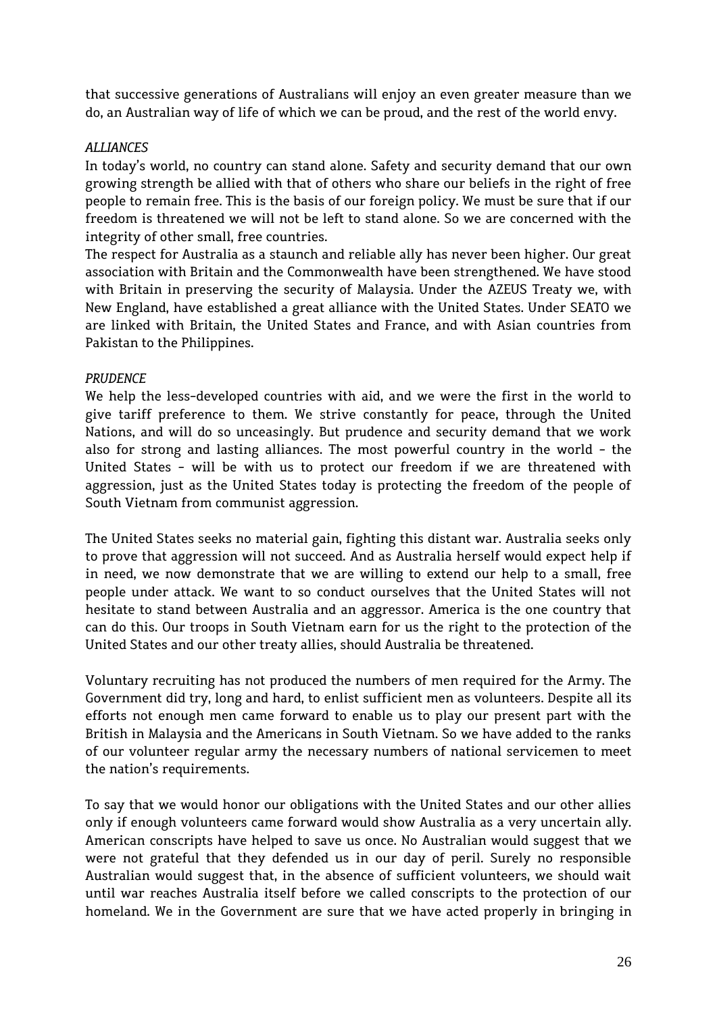that successive generations of Australians will enjoy an even greater measure than we do, an Australian way of life of which we can be proud, and the rest of the world envy.

#### *ALLIANCES*

In today's world, no country can stand alone. Safety and security demand that our own growing strength be allied with that of others who share our beliefs in the right of free people to remain free. This is the basis of our foreign policy. We must be sure that if our freedom is threatened we will not be left to stand alone. So we are concerned with the integrity of other small, free countries.

The respect for Australia as a staunch and reliable ally has never been higher. Our great association with Britain and the Commonwealth have been strengthened. We have stood with Britain in preserving the security of Malaysia. Under the AZEUS Treaty we, with New England, have established a great alliance with the United States. Under SEATO we are linked with Britain, the United States and France, and with Asian countries from Pakistan to the Philippines.

#### *PRUDENCE*

We help the less-developed countries with aid, and we were the first in the world to give tariff preference to them. We strive constantly for peace, through the United Nations, and will do so unceasingly. But prudence and security demand that we work also for strong and lasting alliances. The most powerful country in the world - the United States - will be with us to protect our freedom if we are threatened with aggression, just as the United States today is protecting the freedom of the people of South Vietnam from communist aggression.

The United States seeks no material gain, fighting this distant war. Australia seeks only to prove that aggression will not succeed. And as Australia herself would expect help if in need, we now demonstrate that we are willing to extend our help to a small, free people under attack. We want to so conduct ourselves that the United States will not hesitate to stand between Australia and an aggressor. America is the one country that can do this. Our troops in South Vietnam earn for us the right to the protection of the United States and our other treaty allies, should Australia be threatened.

Voluntary recruiting has not produced the numbers of men required for the Army. The Government did try, long and hard, to enlist sufficient men as volunteers. Despite all its efforts not enough men came forward to enable us to play our present part with the British in Malaysia and the Americans in South Vietnam. So we have added to the ranks of our volunteer regular army the necessary numbers of national servicemen to meet the nation's requirements.

To say that we would honor our obligations with the United States and our other allies only if enough volunteers came forward would show Australia as a very uncertain ally. American conscripts have helped to save us once. No Australian would suggest that we were not grateful that they defended us in our day of peril. Surely no responsible Australian would suggest that, in the absence of sufficient volunteers, we should wait until war reaches Australia itself before we called conscripts to the protection of our homeland. We in the Government are sure that we have acted properly in bringing in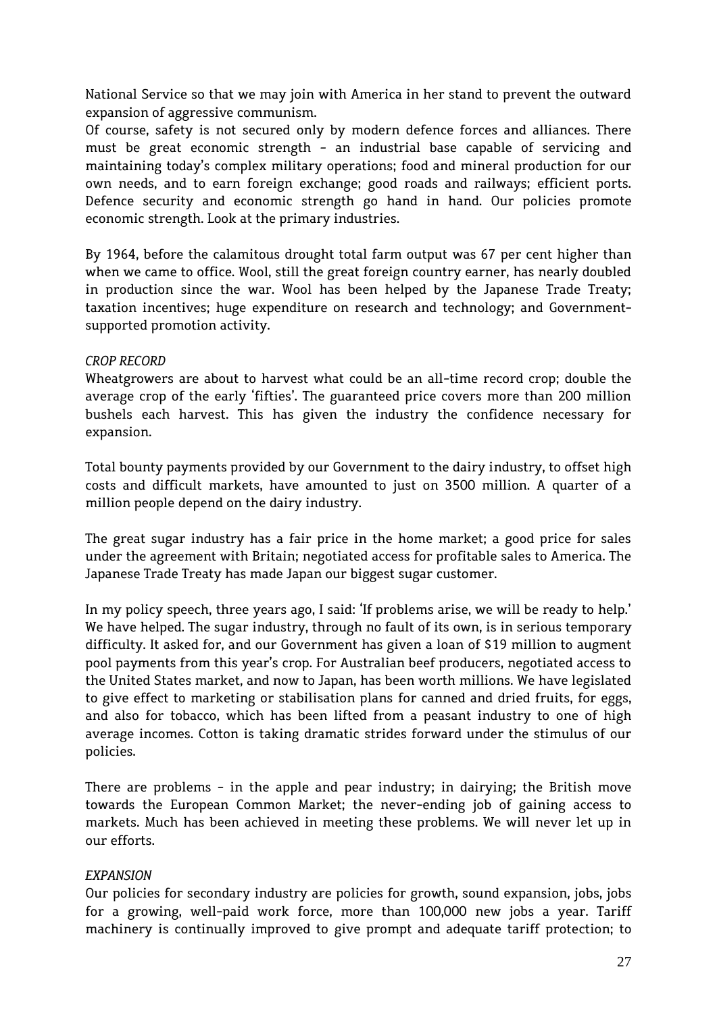National Service so that we may join with America in her stand to prevent the outward expansion of aggressive communism.

Of course, safety is not secured only by modern defence forces and alliances. There must be great economic strength - an industrial base capable of servicing and maintaining today's complex military operations; food and mineral production for our own needs, and to earn foreign exchange; good roads and railways; efficient ports. Defence security and economic strength go hand in hand. Our policies promote economic strength. Look at the primary industries.

By 1964, before the calamitous drought total farm output was 67 per cent higher than when we came to office. Wool, still the great foreign country earner, has nearly doubled in production since the war. Wool has been helped by the Japanese Trade Treaty; taxation incentives; huge expenditure on research and technology; and Governmentsupported promotion activity.

#### *CROP RECORD*

Wheatgrowers are about to harvest what could be an all-time record crop; double the average crop of the early 'fifties'. The guaranteed price covers more than 200 million bushels each harvest. This has given the industry the confidence necessary for expansion.

Total bounty payments provided by our Government to the dairy industry, to offset high costs and difficult markets, have amounted to just on 3500 million. A quarter of a million people depend on the dairy industry.

The great sugar industry has a fair price in the home market; a good price for sales under the agreement with Britain; negotiated access for profitable sales to America. The Japanese Trade Treaty has made Japan our biggest sugar customer.

In my policy speech, three years ago, I said: 'If problems arise, we will be ready to help.' We have helped. The sugar industry, through no fault of its own, is in serious temporary difficulty. It asked for, and our Government has given a loan of \$19 million to augment pool payments from this year's crop. For Australian beef producers, negotiated access to the United States market, and now to Japan, has been worth millions. We have legislated to give effect to marketing or stabilisation plans for canned and dried fruits, for eggs, and also for tobacco, which has been lifted from a peasant industry to one of high average incomes. Cotton is taking dramatic strides forward under the stimulus of our policies.

There are problems - in the apple and pear industry; in dairying; the British move towards the European Common Market; the never-ending job of gaining access to markets. Much has been achieved in meeting these problems. We will never let up in our efforts.

#### *EXPANSION*

Our policies for secondary industry are policies for growth, sound expansion, jobs, jobs for a growing, well-paid work force, more than 100,000 new jobs a year. Tariff machinery is continually improved to give prompt and adequate tariff protection; to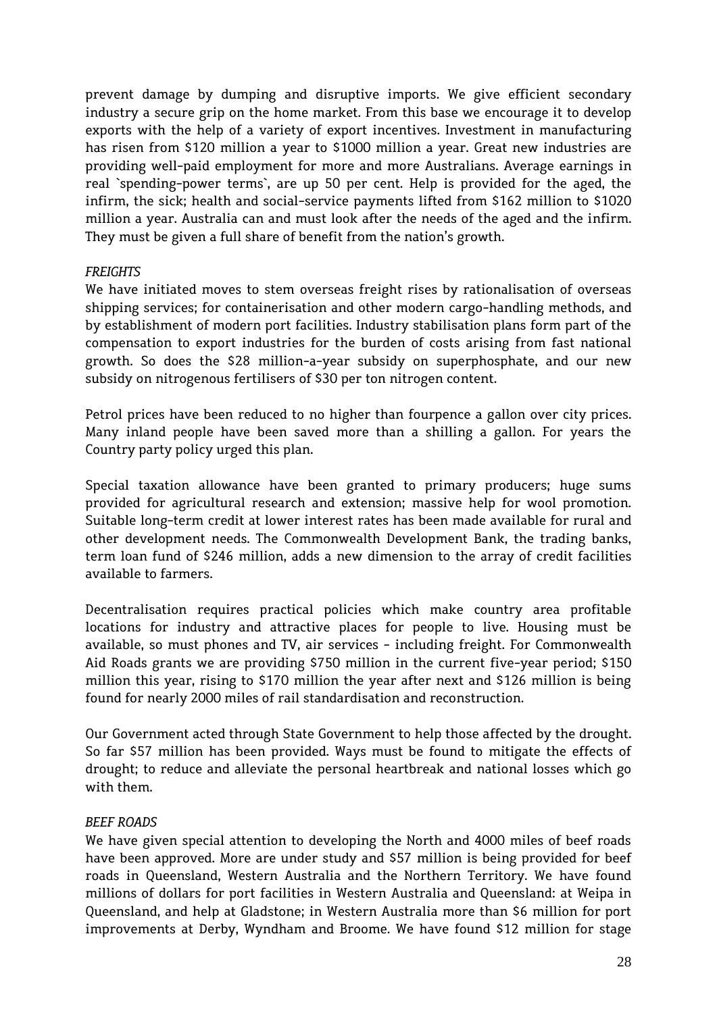prevent damage by dumping and disruptive imports. We give efficient secondary industry a secure grip on the home market. From this base we encourage it to develop exports with the help of a variety of export incentives. Investment in manufacturing has risen from \$120 million a year to \$1000 million a year. Great new industries are providing well-paid employment for more and more Australians. Average earnings in real `spending-power terms`, are up 50 per cent. Help is provided for the aged, the infirm, the sick; health and social-service payments lifted from \$162 million to \$1020 million a year. Australia can and must look after the needs of the aged and the infirm. They must be given a full share of benefit from the nation's growth.

#### *FREIGHTS*

We have initiated moves to stem overseas freight rises by rationalisation of overseas shipping services; for containerisation and other modern cargo-handling methods, and by establishment of modern port facilities. Industry stabilisation plans form part of the compensation to export industries for the burden of costs arising from fast national growth. So does the \$28 million-a-year subsidy on superphosphate, and our new subsidy on nitrogenous fertilisers of \$30 per ton nitrogen content.

Petrol prices have been reduced to no higher than fourpence a gallon over city prices. Many inland people have been saved more than a shilling a gallon. For years the Country party policy urged this plan.

Special taxation allowance have been granted to primary producers; huge sums provided for agricultural research and extension; massive help for wool promotion. Suitable long-term credit at lower interest rates has been made available for rural and other development needs. The Commonwealth Development Bank, the trading banks, term loan fund of \$246 million, adds a new dimension to the array of credit facilities available to farmers.

Decentralisation requires practical policies which make country area profitable locations for industry and attractive places for people to live. Housing must be available, so must phones and TV, air services - including freight. For Commonwealth Aid Roads grants we are providing \$750 million in the current five-year period; \$150 million this year, rising to \$170 million the year after next and \$126 million is being found for nearly 2000 miles of rail standardisation and reconstruction.

Our Government acted through State Government to help those affected by the drought. So far \$57 million has been provided. Ways must be found to mitigate the effects of drought; to reduce and alleviate the personal heartbreak and national losses which go with them.

#### *BEEF ROADS*

We have given special attention to developing the North and 4000 miles of beef roads have been approved. More are under study and \$57 million is being provided for beef roads in Queensland, Western Australia and the Northern Territory. We have found millions of dollars for port facilities in Western Australia and Queensland: at Weipa in Queensland, and help at Gladstone; in Western Australia more than \$6 million for port improvements at Derby, Wyndham and Broome. We have found \$12 million for stage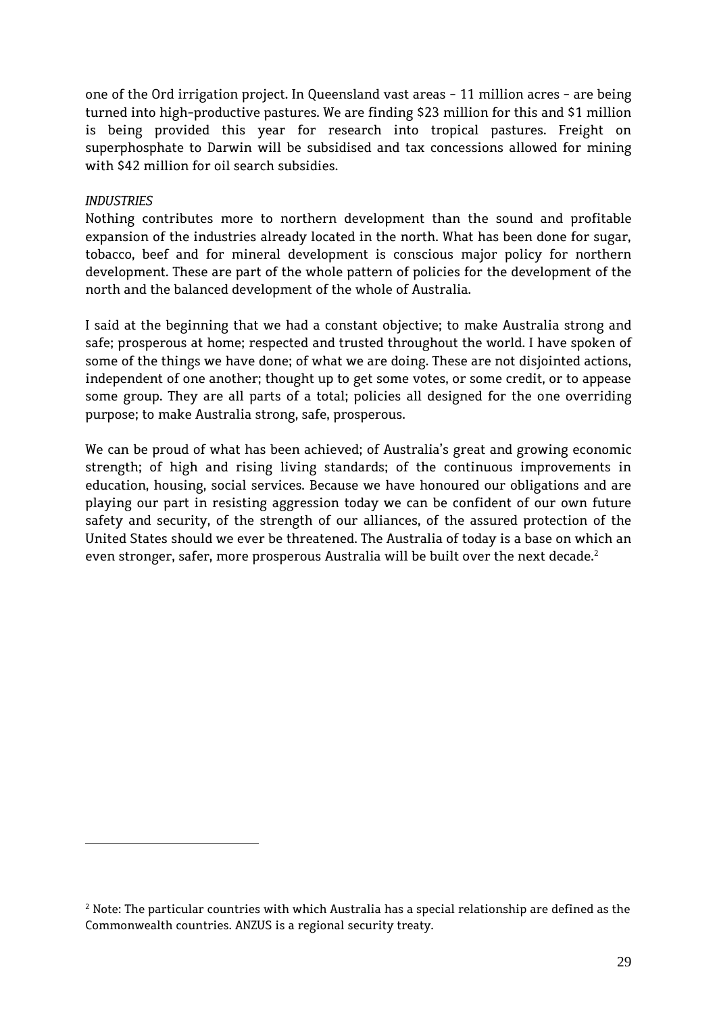one of the Ord irrigation project. In Queensland vast areas - 11 million acres - are being turned into high-productive pastures. We are finding \$23 million for this and \$1 million is being provided this year for research into tropical pastures. Freight on superphosphate to Darwin will be subsidised and tax concessions allowed for mining with \$42 million for oil search subsidies.

#### *INDUSTRIES*

 $\overline{a}$ 

Nothing contributes more to northern development than the sound and profitable expansion of the industries already located in the north. What has been done for sugar, tobacco, beef and for mineral development is conscious major policy for northern development. These are part of the whole pattern of policies for the development of the north and the balanced development of the whole of Australia.

I said at the beginning that we had a constant objective; to make Australia strong and safe; prosperous at home; respected and trusted throughout the world. I have spoken of some of the things we have done; of what we are doing. These are not disjointed actions, independent of one another; thought up to get some votes, or some credit, or to appease some group. They are all parts of a total; policies all designed for the one overriding purpose; to make Australia strong, safe, prosperous.

We can be proud of what has been achieved; of Australia's great and growing economic strength; of high and rising living standards; of the continuous improvements in education, housing, social services. Because we have honoured our obligations and are playing our part in resisting aggression today we can be confident of our own future safety and security, of the strength of our alliances, of the assured protection of the United States should we ever be threatened. The Australia of today is a base on which an even stronger, safer, more prosperous Australia will be built over the next decade.<sup>2</sup>

 $2$  Note: The particular countries with which Australia has a special relationship are defined as the Commonwealth countries. ANZUS is a regional security treaty.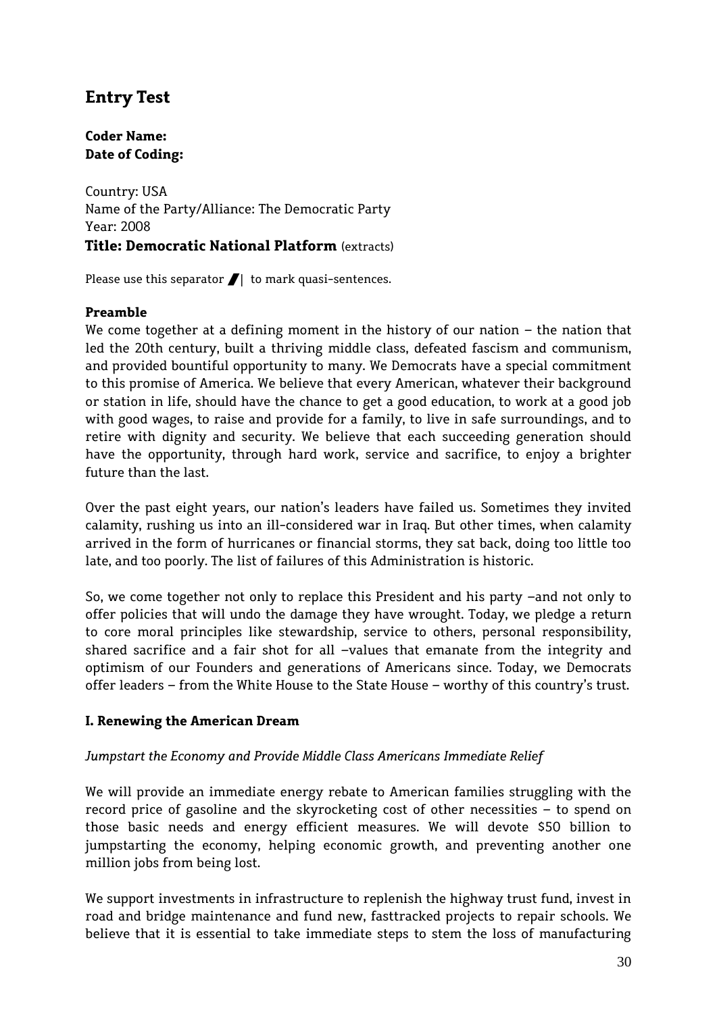# **Entry Test**

**Coder Name: Date of Coding:**

Country: USA Name of the Party/Alliance: The Democratic Party Year: 2008 **Title: Democratic National Platform** (extracts)

Please use this separator  $\blacksquare$  to mark quasi-sentences.

#### **Preamble**

We come together at a defining moment in the history of our nation – the nation that led the 20th century, built a thriving middle class, defeated fascism and communism, and provided bountiful opportunity to many. We Democrats have a special commitment to this promise of America. We believe that every American, whatever their background or station in life, should have the chance to get a good education, to work at a good job with good wages, to raise and provide for a family, to live in safe surroundings, and to retire with dignity and security. We believe that each succeeding generation should have the opportunity, through hard work, service and sacrifice, to enjoy a brighter future than the last.

Over the past eight years, our nation's leaders have failed us. Sometimes they invited calamity, rushing us into an ill-considered war in Iraq. But other times, when calamity arrived in the form of hurricanes or financial storms, they sat back, doing too little too late, and too poorly. The list of failures of this Administration is historic.

So, we come together not only to replace this President and his party –and not only to offer policies that will undo the damage they have wrought. Today, we pledge a return to core moral principles like stewardship, service to others, personal responsibility, shared sacrifice and a fair shot for all –values that emanate from the integrity and optimism of our Founders and generations of Americans since. Today, we Democrats offer leaders – from the White House to the State House – worthy of this country's trust.

#### **I. Renewing the American Dream**

#### *Jumpstart the Economy and Provide Middle Class Americans Immediate Relief*

We will provide an immediate energy rebate to American families struggling with the record price of gasoline and the skyrocketing cost of other necessities – to spend on those basic needs and energy efficient measures. We will devote \$50 billion to jumpstarting the economy, helping economic growth, and preventing another one million jobs from being lost.

We support investments in infrastructure to replenish the highway trust fund, invest in road and bridge maintenance and fund new, fasttracked projects to repair schools. We believe that it is essential to take immediate steps to stem the loss of manufacturing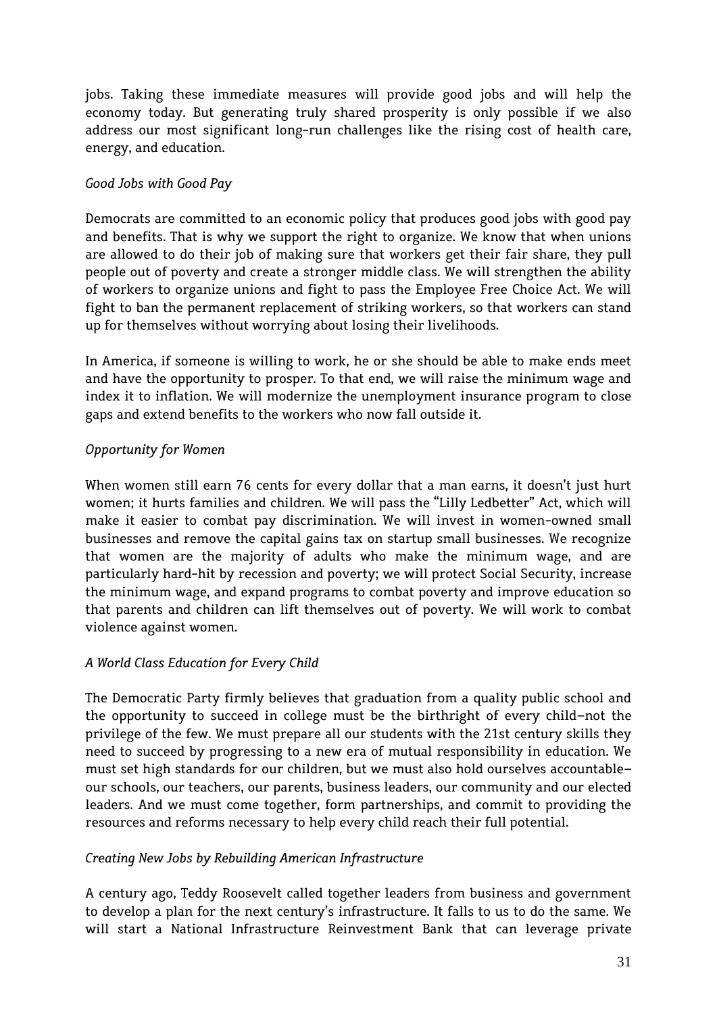jobs. Taking these immediate measures will provide good jobs and will help the economy today. But generating truly shared prosperity is only possible if we also address our most significant long-run challenges like the rising cost of health care, energy, and education.

#### *Good Jobs with Good Pay*

Democrats are committed to an economic policy that produces good jobs with good pay and benefits. That is why we support the right to organize. We know that when unions are allowed to do their job of making sure that workers get their fair share, they pull people out of poverty and create a stronger middle class. We will strengthen the ability of workers to organize unions and fight to pass the Employee Free Choice Act. We will fight to ban the permanent replacement of striking workers, so that workers can stand up for themselves without worrying about losing their livelihoods.

In America, if someone is willing to work, he or she should be able to make ends meet and have the opportunity to prosper. To that end, we will raise the minimum wage and index it to inflation. We will modernize the unemployment insurance program to close gaps and extend benefits to the workers who now fall outside it.

### *Opportunity for Women*

When women still earn 76 cents for every dollar that a man earns, it doesn't just hurt women; it hurts families and children. We will pass the "Lilly Ledbetter" Act, which will make it easier to combat pay discrimination. We will invest in women-owned small businesses and remove the capital gains tax on startup small businesses. We recognize that women are the majority of adults who make the minimum wage, and are particularly hard-hit by recession and poverty; we will protect Social Security, increase the minimum wage, and expand programs to combat poverty and improve education so that parents and children can lift themselves out of poverty. We will work to combat violence against women.

#### *A World Class Education for Every Child*

The Democratic Party firmly believes that graduation from a quality public school and the opportunity to succeed in college must be the birthright of every child–not the privilege of the few. We must prepare all our students with the 21st century skills they need to succeed by progressing to a new era of mutual responsibility in education. We must set high standards for our children, but we must also hold ourselves accountable– our schools, our teachers, our parents, business leaders, our community and our elected leaders. And we must come together, form partnerships, and commit to providing the resources and reforms necessary to help every child reach their full potential.

#### *Creating New Jobs by Rebuilding American Infrastructure*

A century ago, Teddy Roosevelt called together leaders from business and government to develop a plan for the next century's infrastructure. It falls to us to do the same. We will start a National Infrastructure Reinvestment Bank that can leverage private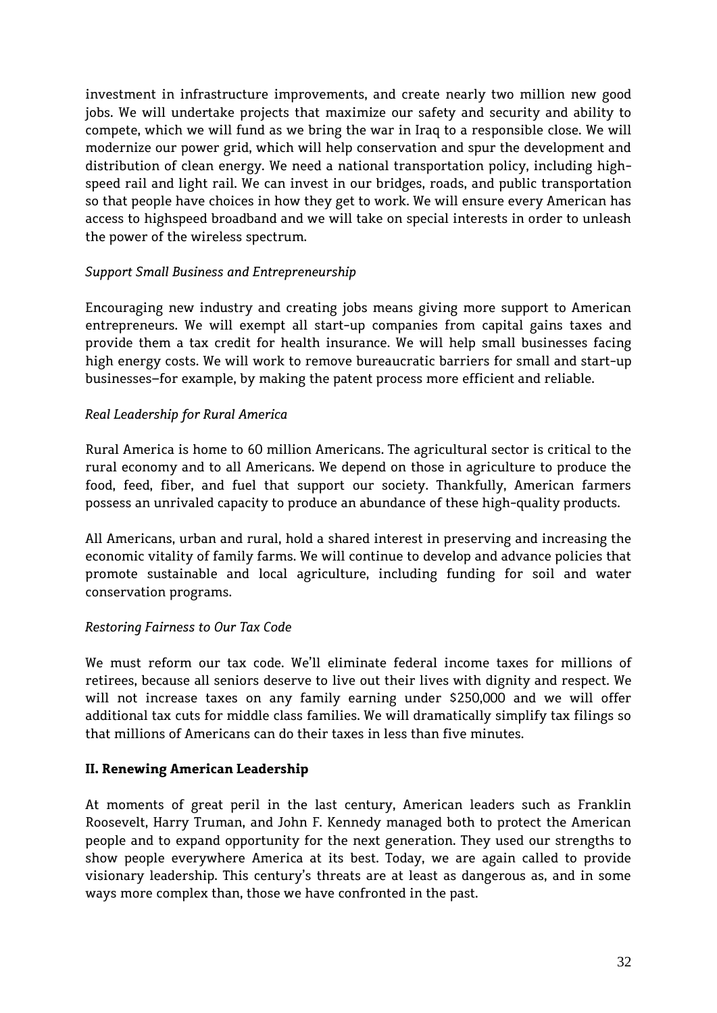investment in infrastructure improvements, and create nearly two million new good jobs. We will undertake projects that maximize our safety and security and ability to compete, which we will fund as we bring the war in Iraq to a responsible close. We will modernize our power grid, which will help conservation and spur the development and distribution of clean energy. We need a national transportation policy, including highspeed rail and light rail. We can invest in our bridges, roads, and public transportation so that people have choices in how they get to work. We will ensure every American has access to highspeed broadband and we will take on special interests in order to unleash the power of the wireless spectrum.

#### *Support Small Business and Entrepreneurship*

Encouraging new industry and creating jobs means giving more support to American entrepreneurs. We will exempt all start-up companies from capital gains taxes and provide them a tax credit for health insurance. We will help small businesses facing high energy costs. We will work to remove bureaucratic barriers for small and start-up businesses–for example, by making the patent process more efficient and reliable.

#### *Real Leadership for Rural America*

Rural America is home to 60 million Americans. The agricultural sector is critical to the rural economy and to all Americans. We depend on those in agriculture to produce the food, feed, fiber, and fuel that support our society. Thankfully, American farmers possess an unrivaled capacity to produce an abundance of these high-quality products.

All Americans, urban and rural, hold a shared interest in preserving and increasing the economic vitality of family farms. We will continue to develop and advance policies that promote sustainable and local agriculture, including funding for soil and water conservation programs.

#### *Restoring Fairness to Our Tax Code*

We must reform our tax code. We'll eliminate federal income taxes for millions of retirees, because all seniors deserve to live out their lives with dignity and respect. We will not increase taxes on any family earning under \$250,000 and we will offer additional tax cuts for middle class families. We will dramatically simplify tax filings so that millions of Americans can do their taxes in less than five minutes.

#### **II. Renewing American Leadership**

At moments of great peril in the last century, American leaders such as Franklin Roosevelt, Harry Truman, and John F. Kennedy managed both to protect the American people and to expand opportunity for the next generation. They used our strengths to show people everywhere America at its best. Today, we are again called to provide visionary leadership. This century's threats are at least as dangerous as, and in some ways more complex than, those we have confronted in the past.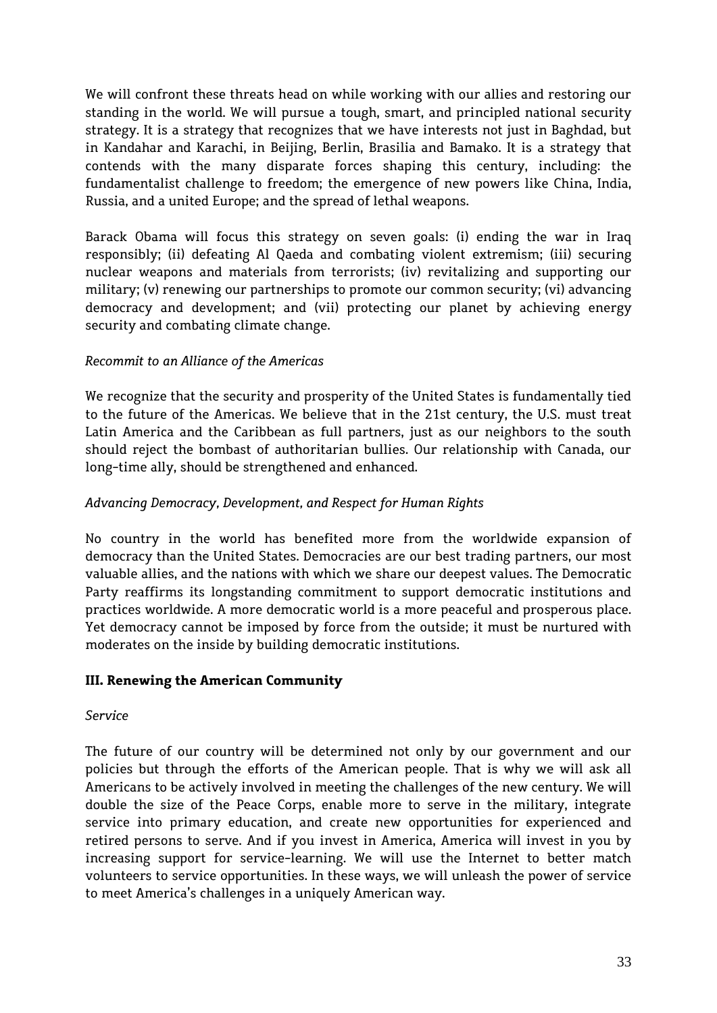We will confront these threats head on while working with our allies and restoring our standing in the world. We will pursue a tough, smart, and principled national security strategy. It is a strategy that recognizes that we have interests not just in Baghdad, but in Kandahar and Karachi, in Beijing, Berlin, Brasilia and Bamako. It is a strategy that contends with the many disparate forces shaping this century, including: the fundamentalist challenge to freedom; the emergence of new powers like China, India, Russia, and a united Europe; and the spread of lethal weapons.

Barack Obama will focus this strategy on seven goals: (i) ending the war in Iraq responsibly; (ii) defeating Al Qaeda and combating violent extremism; (iii) securing nuclear weapons and materials from terrorists; (iv) revitalizing and supporting our military; (v) renewing our partnerships to promote our common security; (vi) advancing democracy and development; and (vii) protecting our planet by achieving energy security and combating climate change.

#### *Recommit to an Alliance of the Americas*

We recognize that the security and prosperity of the United States is fundamentally tied to the future of the Americas. We believe that in the 21st century, the U.S. must treat Latin America and the Caribbean as full partners, just as our neighbors to the south should reject the bombast of authoritarian bullies. Our relationship with Canada, our long-time ally, should be strengthened and enhanced.

#### *Advancing Democracy, Development, and Respect for Human Rights*

No country in the world has benefited more from the worldwide expansion of democracy than the United States. Democracies are our best trading partners, our most valuable allies, and the nations with which we share our deepest values. The Democratic Party reaffirms its longstanding commitment to support democratic institutions and practices worldwide. A more democratic world is a more peaceful and prosperous place. Yet democracy cannot be imposed by force from the outside; it must be nurtured with moderates on the inside by building democratic institutions.

#### **III. Renewing the American Community**

#### *Service*

The future of our country will be determined not only by our government and our policies but through the efforts of the American people. That is why we will ask all Americans to be actively involved in meeting the challenges of the new century. We will double the size of the Peace Corps, enable more to serve in the military, integrate service into primary education, and create new opportunities for experienced and retired persons to serve. And if you invest in America, America will invest in you by increasing support for service-learning. We will use the Internet to better match volunteers to service opportunities. In these ways, we will unleash the power of service to meet America's challenges in a uniquely American way.